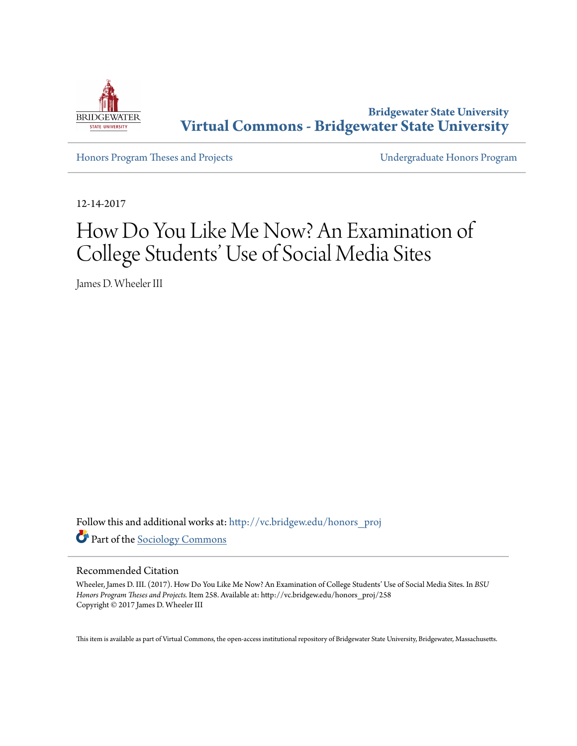

**Bridgewater State University [Virtual Commons - Bridgewater State University](http://vc.bridgew.edu?utm_source=vc.bridgew.edu%2Fhonors_proj%2F258&utm_medium=PDF&utm_campaign=PDFCoverPages)**

[Honors Program Theses and Projects](http://vc.bridgew.edu/honors_proj?utm_source=vc.bridgew.edu%2Fhonors_proj%2F258&utm_medium=PDF&utm_campaign=PDFCoverPages) [Undergraduate Honors Program](http://vc.bridgew.edu/honors?utm_source=vc.bridgew.edu%2Fhonors_proj%2F258&utm_medium=PDF&utm_campaign=PDFCoverPages)

12-14-2017

# How Do You Like Me Now? An Examination of College Students' Use of Social Media Sites

James D. Wheeler III

Follow this and additional works at: [http://vc.bridgew.edu/honors\\_proj](http://vc.bridgew.edu/honors_proj?utm_source=vc.bridgew.edu%2Fhonors_proj%2F258&utm_medium=PDF&utm_campaign=PDFCoverPages) Part of the [Sociology Commons](http://network.bepress.com/hgg/discipline/416?utm_source=vc.bridgew.edu%2Fhonors_proj%2F258&utm_medium=PDF&utm_campaign=PDFCoverPages)

#### Recommended Citation

Wheeler, James D. III. (2017). How Do You Like Me Now? An Examination of College Students' Use of Social Media Sites. In *BSU Honors Program Theses and Projects.* Item 258. Available at: http://vc.bridgew.edu/honors\_proj/258 Copyright © 2017 James D. Wheeler III

This item is available as part of Virtual Commons, the open-access institutional repository of Bridgewater State University, Bridgewater, Massachusetts.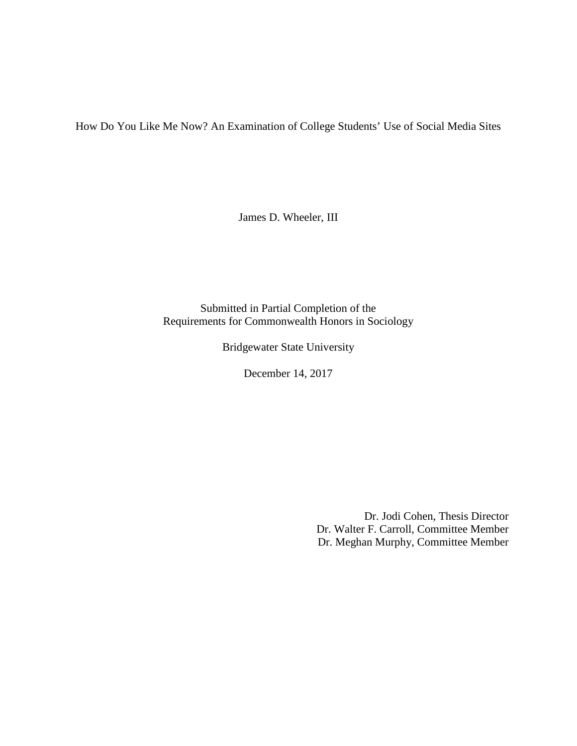How Do You Like Me Now? An Examination of College Students' Use of Social Media Sites

James D. Wheeler, III

Submitted in Partial Completion of the Requirements for Commonwealth Honors in Sociology

Bridgewater State University

December 14, 2017

Dr. Jodi Cohen, Thesis Director Dr. Walter F. Carroll, Committee Member Dr. Meghan Murphy, Committee Member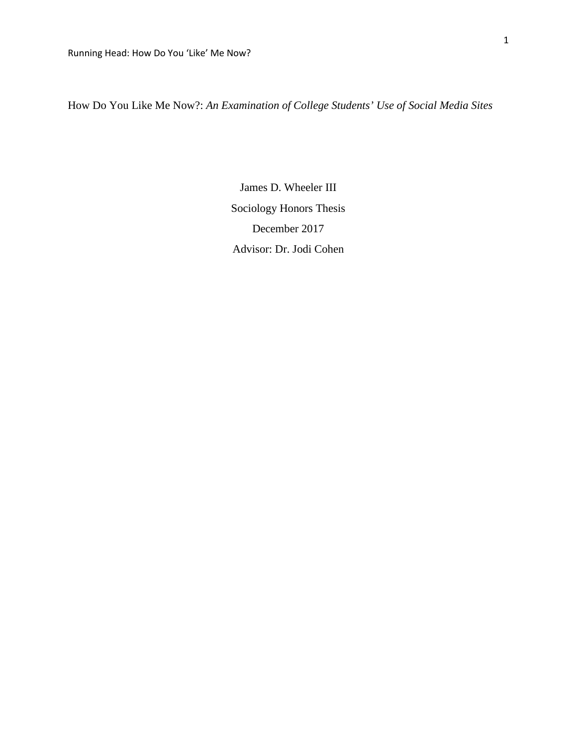How Do You Like Me Now?: *An Examination of College Students' Use of Social Media Sites*

James D. Wheeler III Sociology Honors Thesis December 2017 Advisor: Dr. Jodi Cohen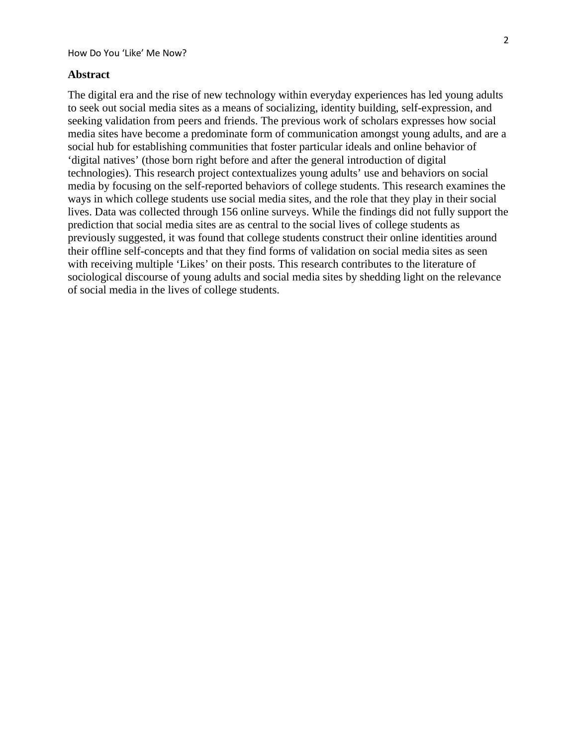#### **Abstract**

The digital era and the rise of new technology within everyday experiences has led young adults to seek out social media sites as a means of socializing, identity building, self-expression, and seeking validation from peers and friends. The previous work of scholars expresses how social media sites have become a predominate form of communication amongst young adults, and are a social hub for establishing communities that foster particular ideals and online behavior of 'digital natives' (those born right before and after the general introduction of digital technologies). This research project contextualizes young adults' use and behaviors on social media by focusing on the self-reported behaviors of college students. This research examines the ways in which college students use social media sites, and the role that they play in their social lives. Data was collected through 156 online surveys. While the findings did not fully support the prediction that social media sites are as central to the social lives of college students as previously suggested, it was found that college students construct their online identities around their offline self-concepts and that they find forms of validation on social media sites as seen with receiving multiple 'Likes' on their posts. This research contributes to the literature of sociological discourse of young adults and social media sites by shedding light on the relevance of social media in the lives of college students.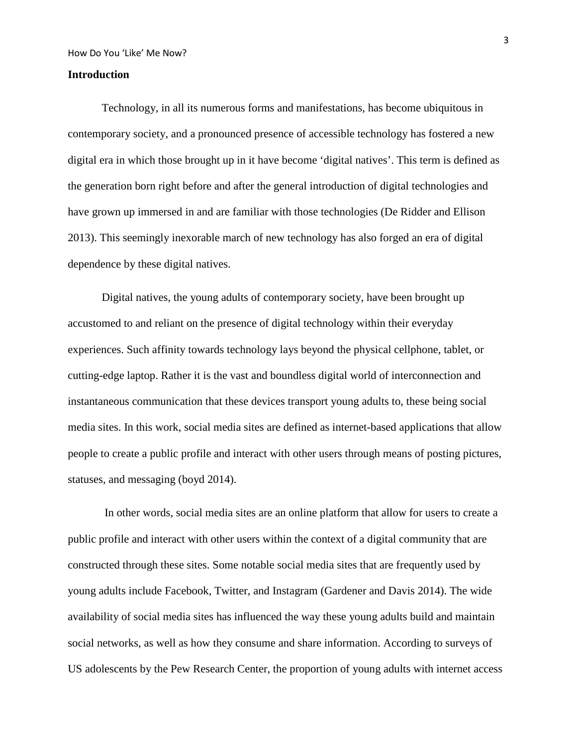### **Introduction**

Technology, in all its numerous forms and manifestations, has become ubiquitous in contemporary society, and a pronounced presence of accessible technology has fostered a new digital era in which those brought up in it have become 'digital natives'. This term is defined as the generation born right before and after the general introduction of digital technologies and have grown up immersed in and are familiar with those technologies (De Ridder and Ellison 2013). This seemingly inexorable march of new technology has also forged an era of digital dependence by these digital natives.

Digital natives, the young adults of contemporary society, have been brought up accustomed to and reliant on the presence of digital technology within their everyday experiences. Such affinity towards technology lays beyond the physical cellphone, tablet, or cutting-edge laptop. Rather it is the vast and boundless digital world of interconnection and instantaneous communication that these devices transport young adults to, these being social media sites. In this work, social media sites are defined as internet-based applications that allow people to create a public profile and interact with other users through means of posting pictures, statuses, and messaging (boyd 2014).

In other words, social media sites are an online platform that allow for users to create a public profile and interact with other users within the context of a digital community that are constructed through these sites. Some notable social media sites that are frequently used by young adults include Facebook, Twitter, and Instagram (Gardener and Davis 2014). The wide availability of social media sites has influenced the way these young adults build and maintain social networks, as well as how they consume and share information. According to surveys of US adolescents by the Pew Research Center, the proportion of young adults with internet access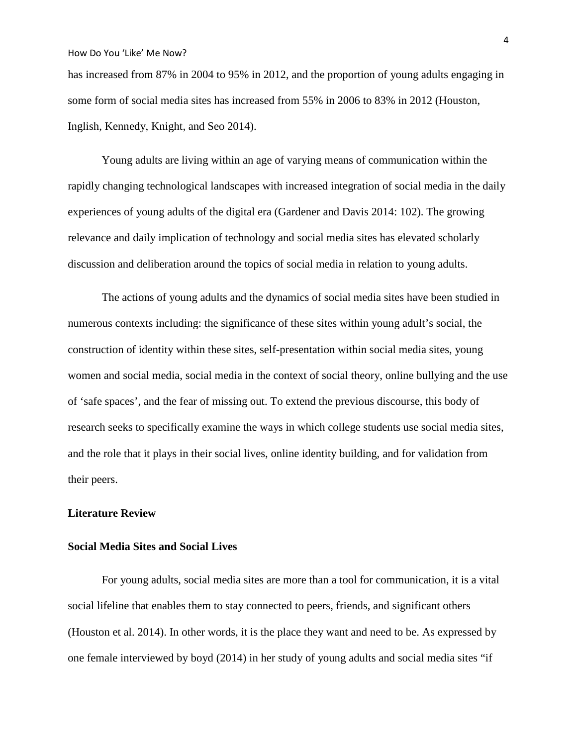has increased from 87% in 2004 to 95% in 2012, and the proportion of young adults engaging in some form of social media sites has increased from 55% in 2006 to 83% in 2012 (Houston, Inglish, Kennedy, Knight, and Seo 2014).

Young adults are living within an age of varying means of communication within the rapidly changing technological landscapes with increased integration of social media in the daily experiences of young adults of the digital era (Gardener and Davis 2014: 102). The growing relevance and daily implication of technology and social media sites has elevated scholarly discussion and deliberation around the topics of social media in relation to young adults.

The actions of young adults and the dynamics of social media sites have been studied in numerous contexts including: the significance of these sites within young adult's social, the construction of identity within these sites, self-presentation within social media sites, young women and social media, social media in the context of social theory, online bullying and the use of 'safe spaces', and the fear of missing out. To extend the previous discourse, this body of research seeks to specifically examine the ways in which college students use social media sites, and the role that it plays in their social lives, online identity building, and for validation from their peers.

## **Literature Review**

#### **Social Media Sites and Social Lives**

For young adults, social media sites are more than a tool for communication, it is a vital social lifeline that enables them to stay connected to peers, friends, and significant others (Houston et al. 2014). In other words, it is the place they want and need to be. As expressed by one female interviewed by boyd (2014) in her study of young adults and social media sites "if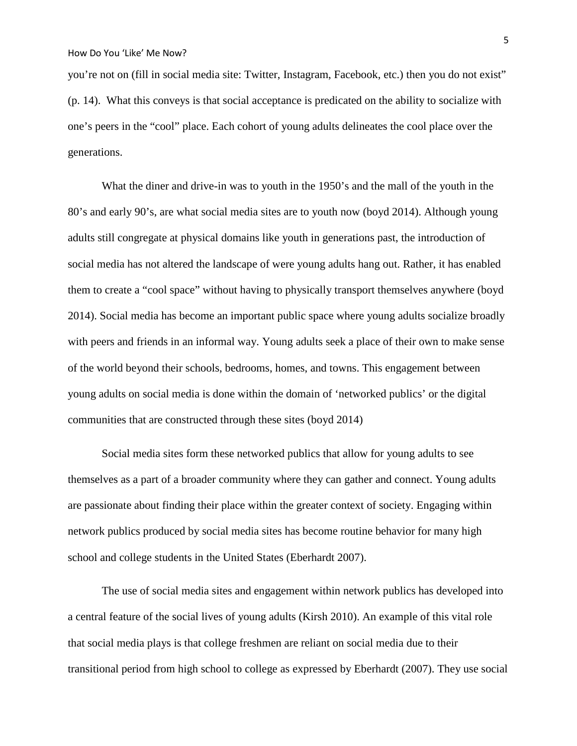you're not on (fill in social media site: Twitter, Instagram, Facebook, etc.) then you do not exist" (p. 14). What this conveys is that social acceptance is predicated on the ability to socialize with one's peers in the "cool" place. Each cohort of young adults delineates the cool place over the generations.

What the diner and drive-in was to youth in the 1950's and the mall of the youth in the 80's and early 90's, are what social media sites are to youth now (boyd 2014). Although young adults still congregate at physical domains like youth in generations past, the introduction of social media has not altered the landscape of were young adults hang out. Rather, it has enabled them to create a "cool space" without having to physically transport themselves anywhere (boyd 2014). Social media has become an important public space where young adults socialize broadly with peers and friends in an informal way. Young adults seek a place of their own to make sense of the world beyond their schools, bedrooms, homes, and towns. This engagement between young adults on social media is done within the domain of 'networked publics' or the digital communities that are constructed through these sites (boyd 2014)

Social media sites form these networked publics that allow for young adults to see themselves as a part of a broader community where they can gather and connect. Young adults are passionate about finding their place within the greater context of society. Engaging within network publics produced by social media sites has become routine behavior for many high school and college students in the United States (Eberhardt 2007).

The use of social media sites and engagement within network publics has developed into a central feature of the social lives of young adults (Kirsh 2010). An example of this vital role that social media plays is that college freshmen are reliant on social media due to their transitional period from high school to college as expressed by Eberhardt (2007). They use social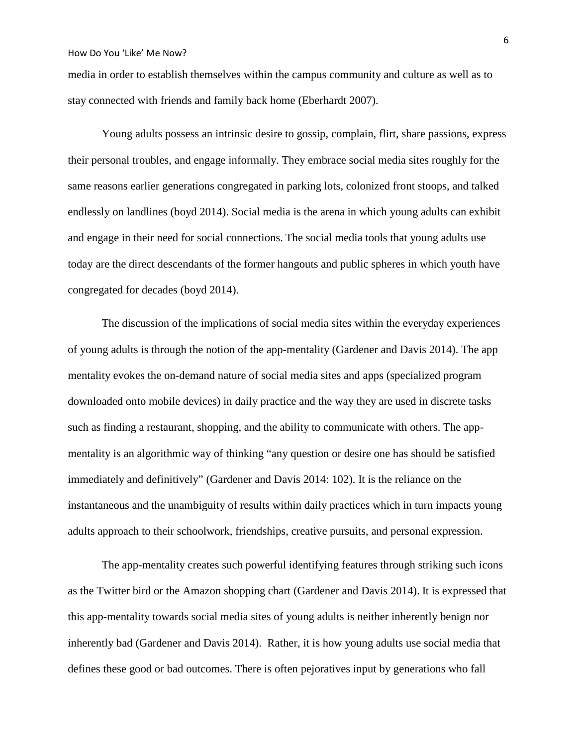media in order to establish themselves within the campus community and culture as well as to stay connected with friends and family back home (Eberhardt 2007).

Young adults possess an intrinsic desire to gossip, complain, flirt, share passions, express their personal troubles, and engage informally. They embrace social media sites roughly for the same reasons earlier generations congregated in parking lots, colonized front stoops, and talked endlessly on landlines (boyd 2014). Social media is the arena in which young adults can exhibit and engage in their need for social connections. The social media tools that young adults use today are the direct descendants of the former hangouts and public spheres in which youth have congregated for decades (boyd 2014).

The discussion of the implications of social media sites within the everyday experiences of young adults is through the notion of the app-mentality (Gardener and Davis 2014). The app mentality evokes the on-demand nature of social media sites and apps (specialized program downloaded onto mobile devices) in daily practice and the way they are used in discrete tasks such as finding a restaurant, shopping, and the ability to communicate with others. The appmentality is an algorithmic way of thinking "any question or desire one has should be satisfied immediately and definitively" (Gardener and Davis 2014: 102). It is the reliance on the instantaneous and the unambiguity of results within daily practices which in turn impacts young adults approach to their schoolwork, friendships, creative pursuits, and personal expression.

The app-mentality creates such powerful identifying features through striking such icons as the Twitter bird or the Amazon shopping chart (Gardener and Davis 2014). It is expressed that this app-mentality towards social media sites of young adults is neither inherently benign nor inherently bad (Gardener and Davis 2014). Rather, it is how young adults use social media that defines these good or bad outcomes. There is often pejoratives input by generations who fall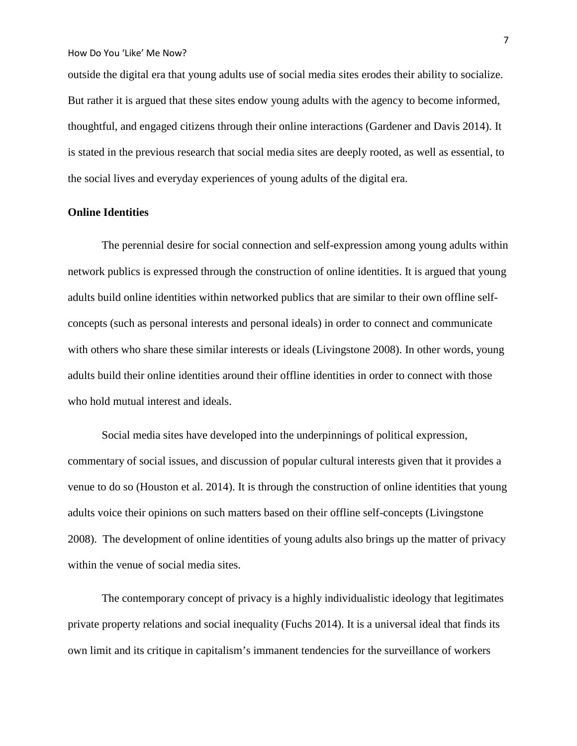outside the digital era that young adults use of social media sites erodes their ability to socialize. But rather it is argued that these sites endow young adults with the agency to become informed, thoughtful, and engaged citizens through their online interactions (Gardener and Davis 2014). It is stated in the previous research that social media sites are deeply rooted, as well as essential, to the social lives and everyday experiences of young adults of the digital era.

## **Online Identities**

The perennial desire for social connection and self-expression among young adults within network publics is expressed through the construction of online identities. It is argued that young adults build online identities within networked publics that are similar to their own offline selfconcepts (such as personal interests and personal ideals) in order to connect and communicate with others who share these similar interests or ideals (Livingstone 2008). In other words, young adults build their online identities around their offline identities in order to connect with those who hold mutual interest and ideals.

Social media sites have developed into the underpinnings of political expression, commentary of social issues, and discussion of popular cultural interests given that it provides a venue to do so (Houston et al. 2014). It is through the construction of online identities that young adults voice their opinions on such matters based on their offline self-concepts (Livingstone 2008). The development of online identities of young adults also brings up the matter of privacy within the venue of social media sites.

The contemporary concept of privacy is a highly individualistic ideology that legitimates private property relations and social inequality (Fuchs 2014). It is a universal ideal that finds its own limit and its critique in capitalism's immanent tendencies for the surveillance of workers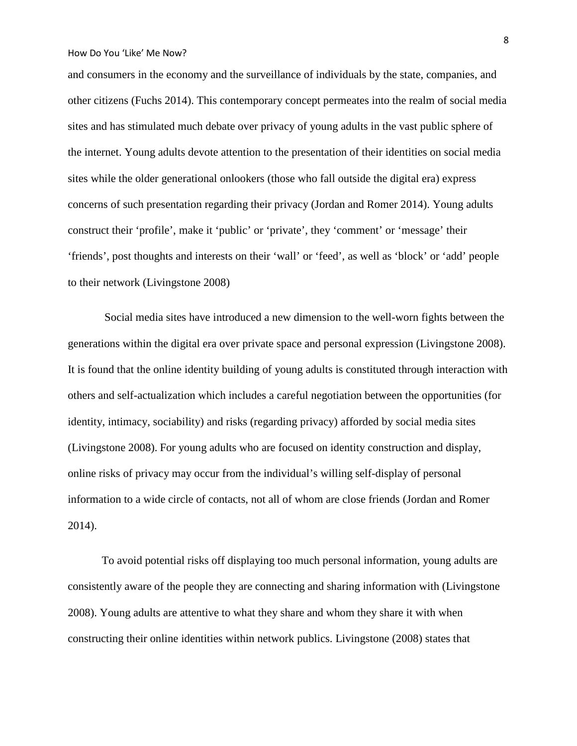and consumers in the economy and the surveillance of individuals by the state, companies, and other citizens (Fuchs 2014). This contemporary concept permeates into the realm of social media sites and has stimulated much debate over privacy of young adults in the vast public sphere of the internet. Young adults devote attention to the presentation of their identities on social media sites while the older generational onlookers (those who fall outside the digital era) express concerns of such presentation regarding their privacy (Jordan and Romer 2014). Young adults construct their 'profile', make it 'public' or 'private', they 'comment' or 'message' their 'friends', post thoughts and interests on their 'wall' or 'feed', as well as 'block' or 'add' people to their network (Livingstone 2008)

Social media sites have introduced a new dimension to the well-worn fights between the generations within the digital era over private space and personal expression (Livingstone 2008). It is found that the online identity building of young adults is constituted through interaction with others and self-actualization which includes a careful negotiation between the opportunities (for identity, intimacy, sociability) and risks (regarding privacy) afforded by social media sites (Livingstone 2008). For young adults who are focused on identity construction and display, online risks of privacy may occur from the individual's willing self-display of personal information to a wide circle of contacts, not all of whom are close friends (Jordan and Romer 2014).

To avoid potential risks off displaying too much personal information, young adults are consistently aware of the people they are connecting and sharing information with (Livingstone 2008). Young adults are attentive to what they share and whom they share it with when constructing their online identities within network publics. Livingstone (2008) states that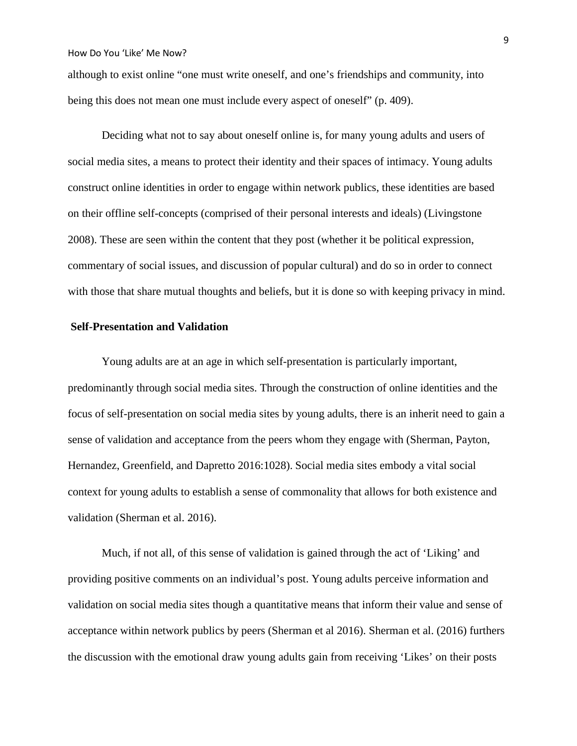although to exist online "one must write oneself, and one's friendships and community, into being this does not mean one must include every aspect of oneself" (p. 409).

Deciding what not to say about oneself online is, for many young adults and users of social media sites, a means to protect their identity and their spaces of intimacy. Young adults construct online identities in order to engage within network publics, these identities are based on their offline self-concepts (comprised of their personal interests and ideals) (Livingstone 2008). These are seen within the content that they post (whether it be political expression, commentary of social issues, and discussion of popular cultural) and do so in order to connect with those that share mutual thoughts and beliefs, but it is done so with keeping privacy in mind.

## **Self-Presentation and Validation**

Young adults are at an age in which self-presentation is particularly important, predominantly through social media sites. Through the construction of online identities and the focus of self-presentation on social media sites by young adults, there is an inherit need to gain a sense of validation and acceptance from the peers whom they engage with (Sherman, Payton, Hernandez, Greenfield, and Dapretto 2016:1028). Social media sites embody a vital social context for young adults to establish a sense of commonality that allows for both existence and validation (Sherman et al. 2016).

Much, if not all, of this sense of validation is gained through the act of 'Liking' and providing positive comments on an individual's post. Young adults perceive information and validation on social media sites though a quantitative means that inform their value and sense of acceptance within network publics by peers (Sherman et al 2016). Sherman et al. (2016) furthers the discussion with the emotional draw young adults gain from receiving 'Likes' on their posts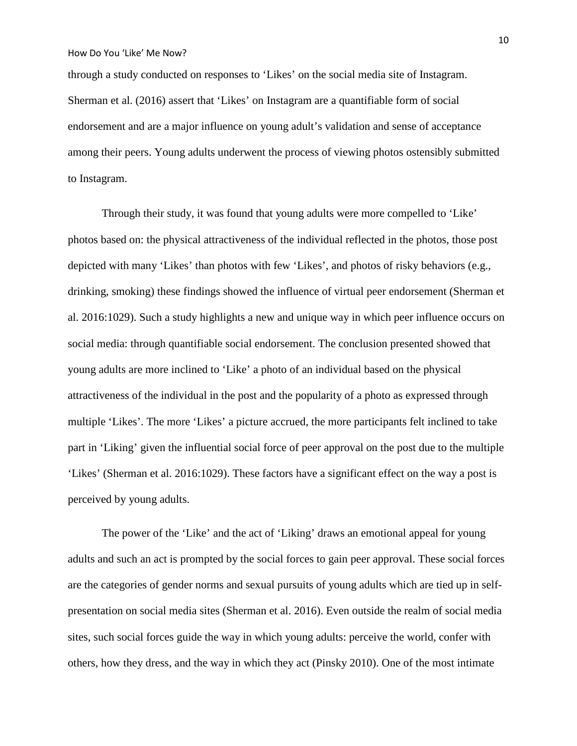through a study conducted on responses to 'Likes' on the social media site of Instagram. Sherman et al. (2016) assert that 'Likes' on Instagram are a quantifiable form of social endorsement and are a major influence on young adult's validation and sense of acceptance among their peers. Young adults underwent the process of viewing photos ostensibly submitted to Instagram.

Through their study, it was found that young adults were more compelled to 'Like' photos based on: the physical attractiveness of the individual reflected in the photos, those post depicted with many 'Likes' than photos with few 'Likes', and photos of risky behaviors (e.g., drinking, smoking) these findings showed the influence of virtual peer endorsement (Sherman et al. 2016:1029). Such a study highlights a new and unique way in which peer influence occurs on social media: through quantifiable social endorsement. The conclusion presented showed that young adults are more inclined to 'Like' a photo of an individual based on the physical attractiveness of the individual in the post and the popularity of a photo as expressed through multiple 'Likes'. The more 'Likes' a picture accrued, the more participants felt inclined to take part in 'Liking' given the influential social force of peer approval on the post due to the multiple 'Likes' (Sherman et al. 2016:1029). These factors have a significant effect on the way a post is perceived by young adults.

The power of the 'Like' and the act of 'Liking' draws an emotional appeal for young adults and such an act is prompted by the social forces to gain peer approval. These social forces are the categories of gender norms and sexual pursuits of young adults which are tied up in selfpresentation on social media sites (Sherman et al. 2016). Even outside the realm of social media sites, such social forces guide the way in which young adults: perceive the world, confer with others, how they dress, and the way in which they act (Pinsky 2010). One of the most intimate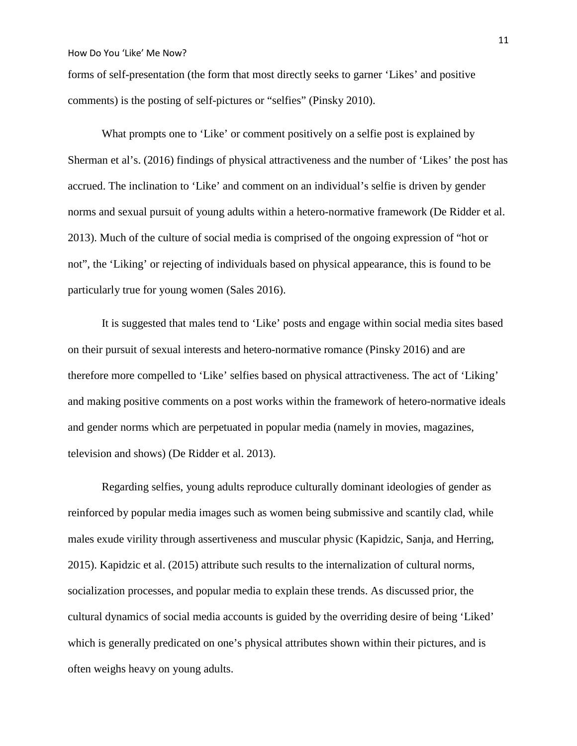forms of self-presentation (the form that most directly seeks to garner 'Likes' and positive comments) is the posting of self-pictures or "selfies" (Pinsky 2010).

What prompts one to 'Like' or comment positively on a selfie post is explained by Sherman et al's. (2016) findings of physical attractiveness and the number of 'Likes' the post has accrued. The inclination to 'Like' and comment on an individual's selfie is driven by gender norms and sexual pursuit of young adults within a hetero-normative framework (De Ridder et al. 2013). Much of the culture of social media is comprised of the ongoing expression of "hot or not", the 'Liking' or rejecting of individuals based on physical appearance, this is found to be particularly true for young women (Sales 2016).

It is suggested that males tend to 'Like' posts and engage within social media sites based on their pursuit of sexual interests and hetero-normative romance (Pinsky 2016) and are therefore more compelled to 'Like' selfies based on physical attractiveness. The act of 'Liking' and making positive comments on a post works within the framework of hetero-normative ideals and gender norms which are perpetuated in popular media (namely in movies, magazines, television and shows) (De Ridder et al. 2013).

Regarding selfies, young adults reproduce culturally dominant ideologies of gender as reinforced by popular media images such as women being submissive and scantily clad, while males exude virility through assertiveness and muscular physic (Kapidzic, Sanja, and Herring, 2015). Kapidzic et al. (2015) attribute such results to the internalization of cultural norms, socialization processes, and popular media to explain these trends. As discussed prior, the cultural dynamics of social media accounts is guided by the overriding desire of being 'Liked' which is generally predicated on one's physical attributes shown within their pictures, and is often weighs heavy on young adults.

11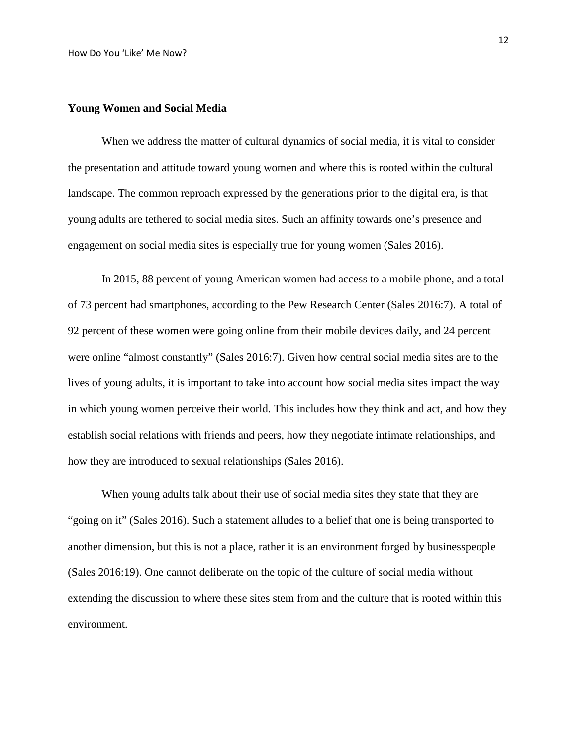#### **Young Women and Social Media**

When we address the matter of cultural dynamics of social media, it is vital to consider the presentation and attitude toward young women and where this is rooted within the cultural landscape. The common reproach expressed by the generations prior to the digital era, is that young adults are tethered to social media sites. Such an affinity towards one's presence and engagement on social media sites is especially true for young women (Sales 2016).

In 2015, 88 percent of young American women had access to a mobile phone, and a total of 73 percent had smartphones, according to the Pew Research Center (Sales 2016:7). A total of 92 percent of these women were going online from their mobile devices daily, and 24 percent were online "almost constantly" (Sales 2016:7). Given how central social media sites are to the lives of young adults, it is important to take into account how social media sites impact the way in which young women perceive their world. This includes how they think and act, and how they establish social relations with friends and peers, how they negotiate intimate relationships, and how they are introduced to sexual relationships (Sales 2016).

When young adults talk about their use of social media sites they state that they are "going on it" (Sales 2016). Such a statement alludes to a belief that one is being transported to another dimension, but this is not a place, rather it is an environment forged by businesspeople (Sales 2016:19). One cannot deliberate on the topic of the culture of social media without extending the discussion to where these sites stem from and the culture that is rooted within this environment.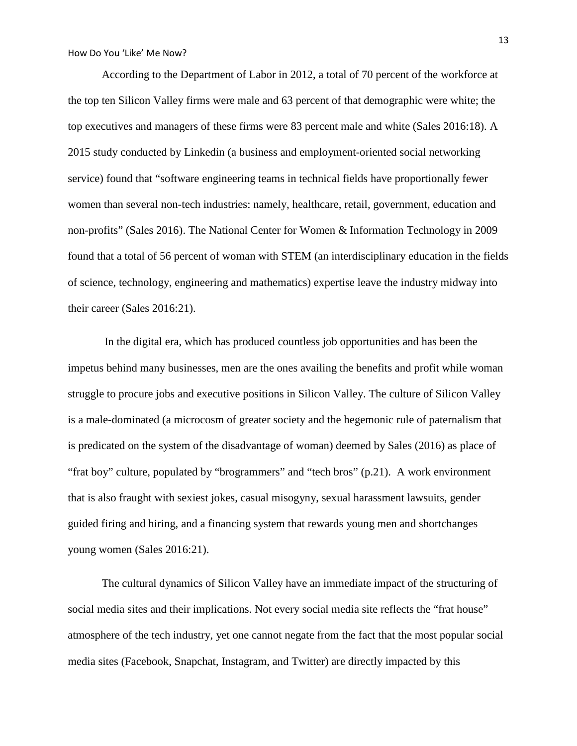According to the Department of Labor in 2012, a total of 70 percent of the workforce at the top ten Silicon Valley firms were male and 63 percent of that demographic were white; the top executives and managers of these firms were 83 percent male and white (Sales 2016:18). A 2015 study conducted by Linkedin (a business and employment-oriented social networking service) found that "software engineering teams in technical fields have proportionally fewer women than several non-tech industries: namely, healthcare, retail, government, education and non-profits" (Sales 2016). The National Center for Women & Information Technology in 2009 found that a total of 56 percent of woman with STEM (an interdisciplinary education in the fields of science, technology, engineering and mathematics) expertise leave the industry midway into their career (Sales 2016:21).

In the digital era, which has produced countless job opportunities and has been the impetus behind many businesses, men are the ones availing the benefits and profit while woman struggle to procure jobs and executive positions in Silicon Valley. The culture of Silicon Valley is a male-dominated (a microcosm of greater society and the hegemonic rule of paternalism that is predicated on the system of the disadvantage of woman) deemed by Sales (2016) as place of "frat boy" culture, populated by "brogrammers" and "tech bros" (p.21). A work environment that is also fraught with sexiest jokes, casual misogyny, sexual harassment lawsuits, gender guided firing and hiring, and a financing system that rewards young men and shortchanges young women (Sales 2016:21).

The cultural dynamics of Silicon Valley have an immediate impact of the structuring of social media sites and their implications. Not every social media site reflects the "frat house" atmosphere of the tech industry, yet one cannot negate from the fact that the most popular social media sites (Facebook, Snapchat, Instagram, and Twitter) are directly impacted by this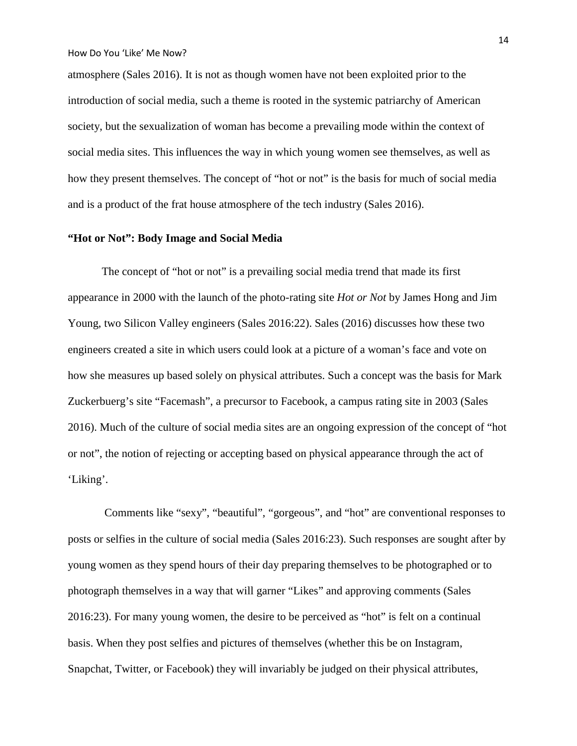atmosphere (Sales 2016). It is not as though women have not been exploited prior to the introduction of social media, such a theme is rooted in the systemic patriarchy of American society, but the sexualization of woman has become a prevailing mode within the context of social media sites. This influences the way in which young women see themselves, as well as how they present themselves. The concept of "hot or not" is the basis for much of social media and is a product of the frat house atmosphere of the tech industry (Sales 2016).

#### **"Hot or Not": Body Image and Social Media**

The concept of "hot or not" is a prevailing social media trend that made its first appearance in 2000 with the launch of the photo-rating site *Hot or Not* by James Hong and Jim Young, two Silicon Valley engineers (Sales 2016:22). Sales (2016) discusses how these two engineers created a site in which users could look at a picture of a woman's face and vote on how she measures up based solely on physical attributes. Such a concept was the basis for Mark Zuckerbuerg's site "Facemash", a precursor to Facebook, a campus rating site in 2003 (Sales 2016). Much of the culture of social media sites are an ongoing expression of the concept of "hot or not", the notion of rejecting or accepting based on physical appearance through the act of 'Liking'.

Comments like "sexy", "beautiful", "gorgeous", and "hot" are conventional responses to posts or selfies in the culture of social media (Sales 2016:23). Such responses are sought after by young women as they spend hours of their day preparing themselves to be photographed or to photograph themselves in a way that will garner "Likes" and approving comments (Sales 2016:23). For many young women, the desire to be perceived as "hot" is felt on a continual basis. When they post selfies and pictures of themselves (whether this be on Instagram, Snapchat, Twitter, or Facebook) they will invariably be judged on their physical attributes,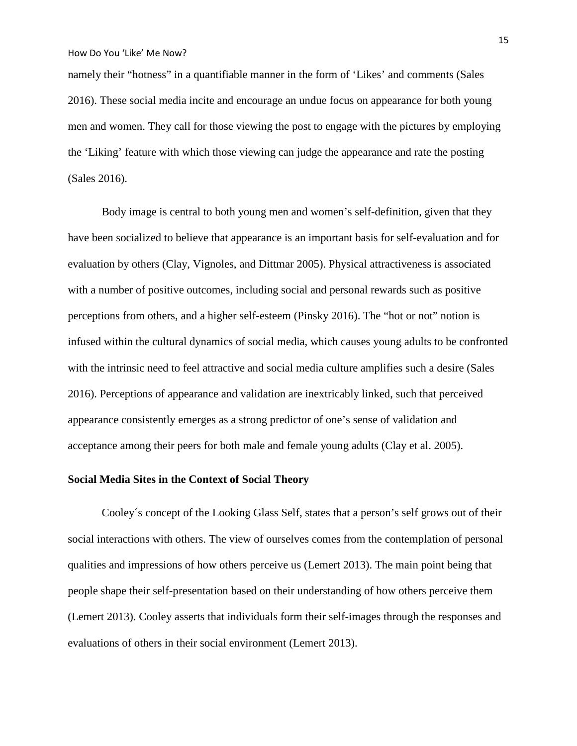namely their "hotness" in a quantifiable manner in the form of 'Likes' and comments (Sales 2016). These social media incite and encourage an undue focus on appearance for both young men and women. They call for those viewing the post to engage with the pictures by employing the 'Liking' feature with which those viewing can judge the appearance and rate the posting (Sales 2016).

Body image is central to both young men and women's self-definition, given that they have been socialized to believe that appearance is an important basis for self-evaluation and for evaluation by others (Clay, Vignoles, and Dittmar 2005). Physical attractiveness is associated with a number of positive outcomes, including social and personal rewards such as positive perceptions from others, and a higher self-esteem (Pinsky 2016). The "hot or not" notion is infused within the cultural dynamics of social media, which causes young adults to be confronted with the intrinsic need to feel attractive and social media culture amplifies such a desire (Sales 2016). Perceptions of appearance and validation are inextricably linked, such that perceived appearance consistently emerges as a strong predictor of one's sense of validation and acceptance among their peers for both male and female young adults (Clay et al. 2005).

#### **Social Media Sites in the Context of Social Theory**

Cooley´s concept of the Looking Glass Self, states that a person's self grows out of their social interactions with others. The view of ourselves comes from the contemplation of personal qualities and impressions of how others perceive us (Lemert 2013). The main point being that people shape their self-presentation based on their understanding of how others perceive them (Lemert 2013). Cooley asserts that individuals form their self-images through the responses and evaluations of others in their social environment (Lemert 2013).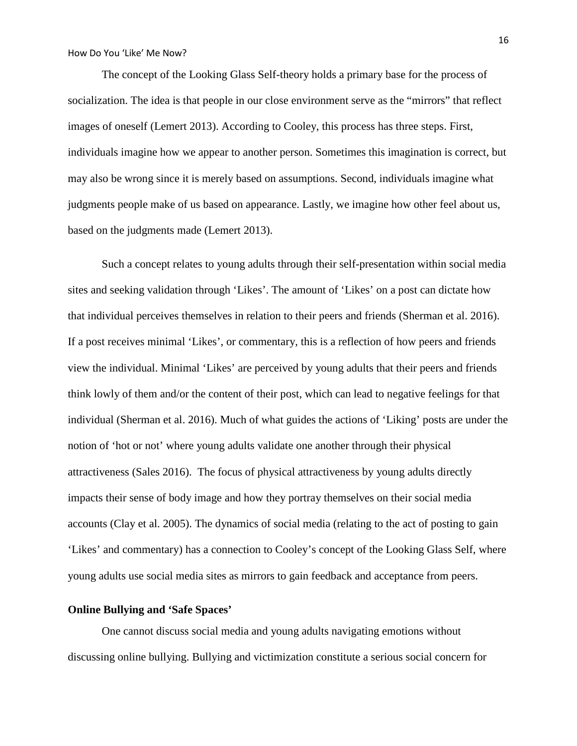The concept of the Looking Glass Self-theory holds a primary base for the process of socialization. The idea is that people in our close environment serve as the "mirrors" that reflect images of oneself (Lemert 2013). According to Cooley, this process has three steps. First, individuals imagine how we appear to another person. Sometimes this imagination is correct, but may also be wrong since it is merely based on assumptions. Second, individuals imagine what judgments people make of us based on appearance. Lastly, we imagine how other feel about us, based on the judgments made (Lemert 2013).

Such a concept relates to young adults through their self-presentation within social media sites and seeking validation through 'Likes'. The amount of 'Likes' on a post can dictate how that individual perceives themselves in relation to their peers and friends (Sherman et al. 2016). If a post receives minimal 'Likes', or commentary, this is a reflection of how peers and friends view the individual. Minimal 'Likes' are perceived by young adults that their peers and friends think lowly of them and/or the content of their post, which can lead to negative feelings for that individual (Sherman et al. 2016). Much of what guides the actions of 'Liking' posts are under the notion of 'hot or not' where young adults validate one another through their physical attractiveness (Sales 2016). The focus of physical attractiveness by young adults directly impacts their sense of body image and how they portray themselves on their social media accounts (Clay et al. 2005). The dynamics of social media (relating to the act of posting to gain 'Likes' and commentary) has a connection to Cooley's concept of the Looking Glass Self, where young adults use social media sites as mirrors to gain feedback and acceptance from peers.

### **Online Bullying and 'Safe Spaces'**

One cannot discuss social media and young adults navigating emotions without discussing online bullying. Bullying and victimization constitute a serious social concern for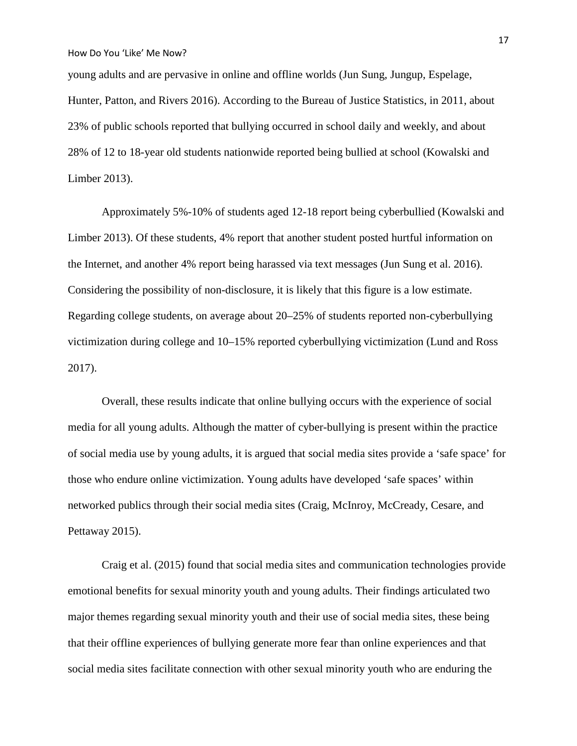young adults and are pervasive in online and offline worlds (Jun Sung, Jungup, Espelage, Hunter, Patton, and Rivers 2016). According to the Bureau of Justice Statistics, in 2011, about 23% of public schools reported that bullying occurred in school daily and weekly, and about 28% of 12 to 18-year old students nationwide reported being bullied at school (Kowalski and Limber 2013).

Approximately 5%-10% of students aged 12-18 report being cyberbullied (Kowalski and Limber 2013). Of these students, 4% report that another student posted hurtful information on the Internet, and another 4% report being harassed via text messages (Jun Sung et al. 2016). Considering the possibility of non-disclosure, it is likely that this figure is a low estimate. Regarding college students, on average about 20–25% of students reported non-cyberbullying victimization during college and 10–15% reported cyberbullying victimization (Lund and Ross 2017).

Overall, these results indicate that online bullying occurs with the experience of social media for all young adults. Although the matter of cyber-bullying is present within the practice of social media use by young adults, it is argued that social media sites provide a 'safe space' for those who endure online victimization. Young adults have developed 'safe spaces' within networked publics through their social media sites (Craig, McInroy, McCready, Cesare, and Pettaway 2015).

Craig et al. (2015) found that social media sites and communication technologies provide emotional benefits for sexual minority youth and young adults. Their findings articulated two major themes regarding sexual minority youth and their use of social media sites, these being that their offline experiences of bullying generate more fear than online experiences and that social media sites facilitate connection with other sexual minority youth who are enduring the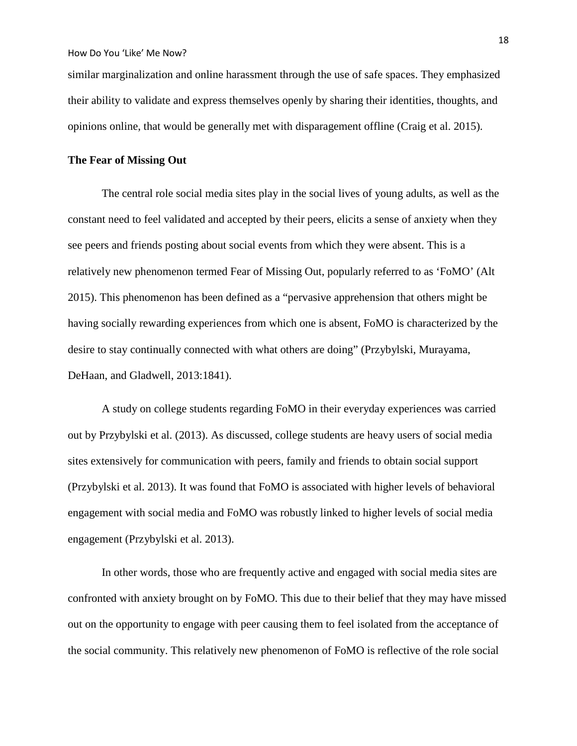similar marginalization and online harassment through the use of safe spaces. They emphasized their ability to validate and express themselves openly by sharing their identities, thoughts, and opinions online, that would be generally met with disparagement offline (Craig et al. 2015).

## **The Fear of Missing Out**

The central role social media sites play in the social lives of young adults, as well as the constant need to feel validated and accepted by their peers, elicits a sense of anxiety when they see peers and friends posting about social events from which they were absent. This is a relatively new phenomenon termed Fear of Missing Out, popularly referred to as 'FoMO' (Alt 2015). This phenomenon has been defined as a "pervasive apprehension that others might be having socially rewarding experiences from which one is absent, FoMO is characterized by the desire to stay continually connected with what others are doing" (Przybylski, Murayama, DeHaan, and Gladwell, 2013:1841).

A study on college students regarding FoMO in their everyday experiences was carried out by Przybylski et al. (2013). As discussed, college students are heavy users of social media sites extensively for communication with peers, family and friends to obtain social support (Przybylski et al. 2013). It was found that FoMO is associated with higher levels of behavioral engagement with social media and FoMO was robustly linked to higher levels of social media engagement (Przybylski et al. 2013).

In other words, those who are frequently active and engaged with social media sites are confronted with anxiety brought on by FoMO. This due to their belief that they may have missed out on the opportunity to engage with peer causing them to feel isolated from the acceptance of the social community. This relatively new phenomenon of FoMO is reflective of the role social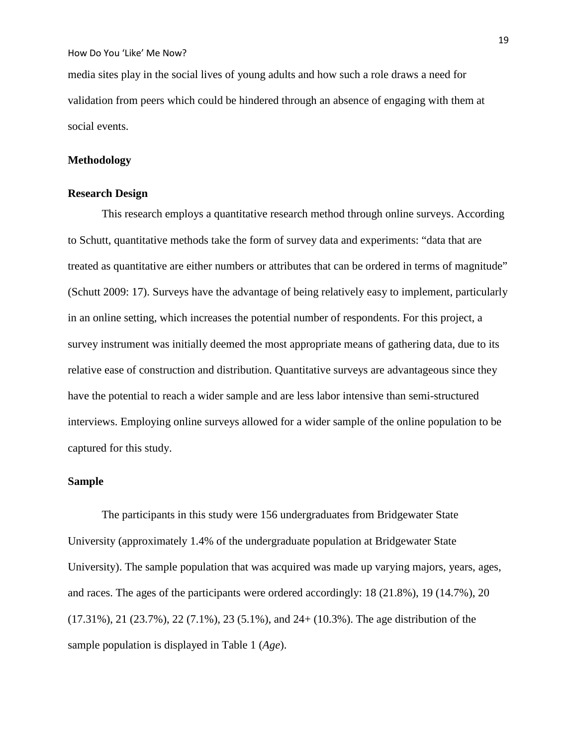media sites play in the social lives of young adults and how such a role draws a need for validation from peers which could be hindered through an absence of engaging with them at social events.

## **Methodology**

## **Research Design**

This research employs a quantitative research method through online surveys. According to Schutt, quantitative methods take the form of survey data and experiments: "data that are treated as quantitative are either numbers or attributes that can be ordered in terms of magnitude" (Schutt 2009: 17). Surveys have the advantage of being relatively easy to implement, particularly in an online setting, which increases the potential number of respondents. For this project, a survey instrument was initially deemed the most appropriate means of gathering data, due to its relative ease of construction and distribution. Quantitative surveys are advantageous since they have the potential to reach a wider sample and are less labor intensive than semi-structured interviews. Employing online surveys allowed for a wider sample of the online population to be captured for this study.

## **Sample**

The participants in this study were 156 undergraduates from Bridgewater State University (approximately 1.4% of the undergraduate population at Bridgewater State University). The sample population that was acquired was made up varying majors, years, ages, and races. The ages of the participants were ordered accordingly: 18 (21.8%), 19 (14.7%), 20 (17.31%), 21 (23.7%), 22 (7.1%), 23 (5.1%), and 24+ (10.3%). The age distribution of the sample population is displayed in Table 1 (*Age*).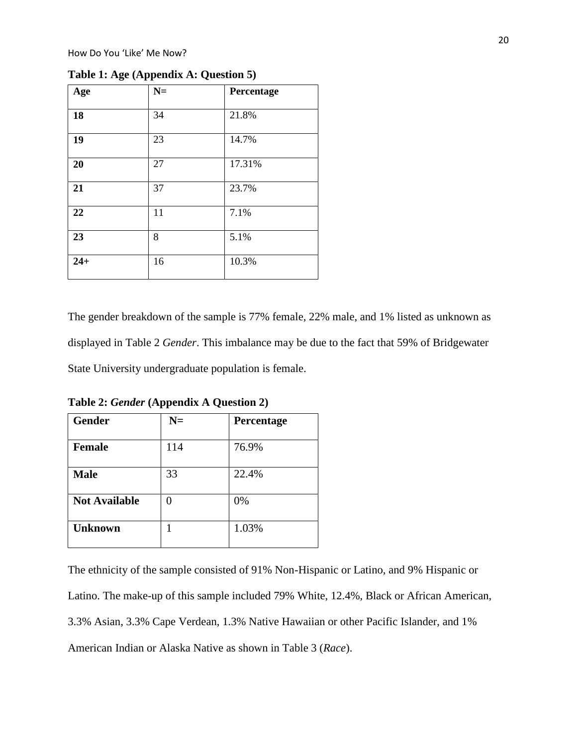| Age   | $N=$ | Percentage |
|-------|------|------------|
| 18    | 34   | 21.8%      |
| 19    | 23   | 14.7%      |
| 20    | 27   | 17.31%     |
| 21    | 37   | 23.7%      |
| 22    | 11   | 7.1%       |
| 23    | 8    | 5.1%       |
| $24+$ | 16   | 10.3%      |

**Table 1: Age (Appendix A: Question 5)**

The gender breakdown of the sample is 77% female, 22% male, and 1% listed as unknown as displayed in Table 2 *Gender*. This imbalance may be due to the fact that 59% of Bridgewater State University undergraduate population is female.

| Gender               | $N=$ | Percentage |
|----------------------|------|------------|
| <b>Female</b>        | 114  | 76.9%      |
| <b>Male</b>          | 33   | 22.4%      |
| <b>Not Available</b> | 0    | 0%         |
| <b>Unknown</b>       | 1    | 1.03%      |

**Table 2:** *Gender* **(Appendix A Question 2)**

The ethnicity of the sample consisted of 91% Non-Hispanic or Latino, and 9% Hispanic or Latino. The make-up of this sample included 79% White, 12.4%, Black or African American, 3.3% Asian, 3.3% Cape Verdean, 1.3% Native Hawaiian or other Pacific Islander, and 1% American Indian or Alaska Native as shown in Table 3 (*Race*).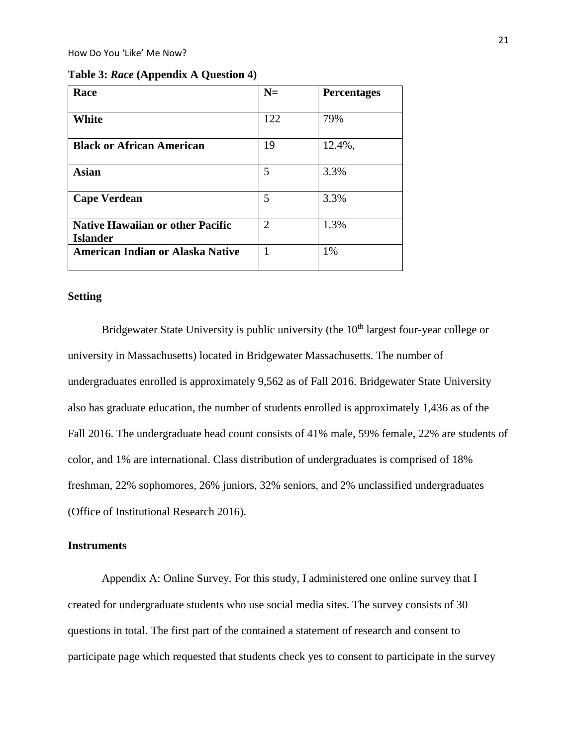| Table 3: Race (Appendix A Question 4) |  |  |
|---------------------------------------|--|--|
|---------------------------------------|--|--|

| Race                                                       | $N=$           | <b>Percentages</b> |
|------------------------------------------------------------|----------------|--------------------|
| White                                                      | 122            | 79%                |
| <b>Black or African American</b>                           | 19             | 12.4%,             |
| <b>Asian</b>                                               | 5              | 3.3%               |
| <b>Cape Verdean</b>                                        | 5              | 3.3%               |
| <b>Native Hawaiian or other Pacific</b><br><b>Islander</b> | $\overline{2}$ | 1.3%               |
| <b>American Indian or Alaska Native</b>                    |                | 1%                 |

## **Setting**

Bridgewater State University is public university (the  $10<sup>th</sup>$  largest four-year college or university in Massachusetts) located in Bridgewater Massachusetts. The number of undergraduates enrolled is approximately 9,562 as of Fall 2016. Bridgewater State University also has graduate education, the number of students enrolled is approximately 1,436 as of the Fall 2016. The undergraduate head count consists of 41% male, 59% female, 22% are students of color, and 1% are international. Class distribution of undergraduates is comprised of 18% freshman, 22% sophomores, 26% juniors, 32% seniors, and 2% unclassified undergraduates (Office of Institutional Research 2016).

## **Instruments**

Appendix A: Online Survey. For this study, I administered one online survey that I created for undergraduate students who use social media sites. The survey consists of 30 questions in total. The first part of the contained a statement of research and consent to participate page which requested that students check yes to consent to participate in the survey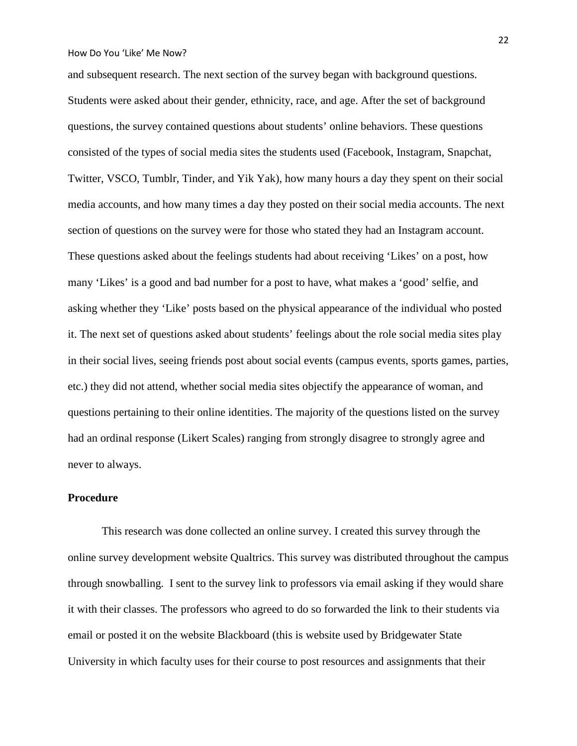and subsequent research. The next section of the survey began with background questions. Students were asked about their gender, ethnicity, race, and age. After the set of background questions, the survey contained questions about students' online behaviors. These questions consisted of the types of social media sites the students used (Facebook, Instagram, Snapchat, Twitter, VSCO, Tumblr, Tinder, and Yik Yak), how many hours a day they spent on their social media accounts, and how many times a day they posted on their social media accounts. The next section of questions on the survey were for those who stated they had an Instagram account. These questions asked about the feelings students had about receiving 'Likes' on a post, how many 'Likes' is a good and bad number for a post to have, what makes a 'good' selfie, and asking whether they 'Like' posts based on the physical appearance of the individual who posted it. The next set of questions asked about students' feelings about the role social media sites play in their social lives, seeing friends post about social events (campus events, sports games, parties, etc.) they did not attend, whether social media sites objectify the appearance of woman, and questions pertaining to their online identities. The majority of the questions listed on the survey had an ordinal response (Likert Scales) ranging from strongly disagree to strongly agree and never to always.

## **Procedure**

This research was done collected an online survey. I created this survey through the online survey development website Qualtrics. This survey was distributed throughout the campus through snowballing. I sent to the survey link to professors via email asking if they would share it with their classes. The professors who agreed to do so forwarded the link to their students via email or posted it on the website Blackboard (this is website used by Bridgewater State University in which faculty uses for their course to post resources and assignments that their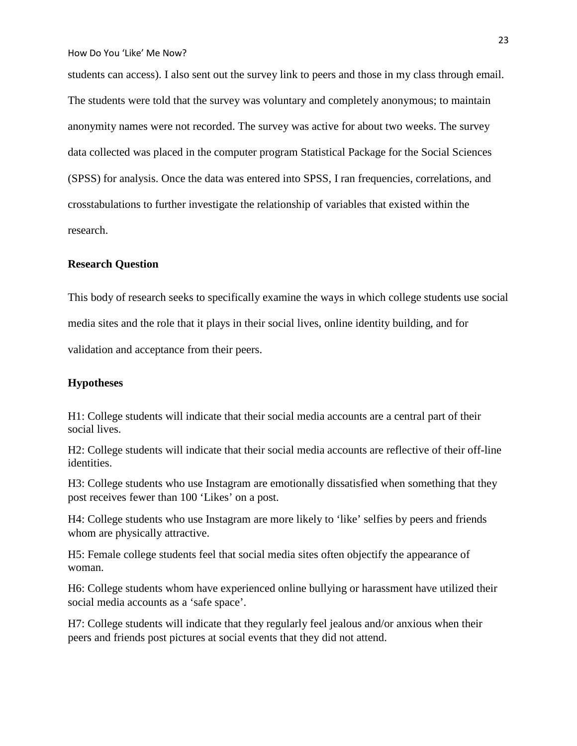students can access). I also sent out the survey link to peers and those in my class through email. The students were told that the survey was voluntary and completely anonymous; to maintain anonymity names were not recorded. The survey was active for about two weeks. The survey data collected was placed in the computer program Statistical Package for the Social Sciences (SPSS) for analysis. Once the data was entered into SPSS, I ran frequencies, correlations, and crosstabulations to further investigate the relationship of variables that existed within the research.

## **Research Question**

This body of research seeks to specifically examine the ways in which college students use social media sites and the role that it plays in their social lives, online identity building, and for validation and acceptance from their peers.

## **Hypotheses**

H1: College students will indicate that their social media accounts are a central part of their social lives.

H2: College students will indicate that their social media accounts are reflective of their off-line identities.

H3: College students who use Instagram are emotionally dissatisfied when something that they post receives fewer than 100 'Likes' on a post.

H4: College students who use Instagram are more likely to 'like' selfies by peers and friends whom are physically attractive.

H5: Female college students feel that social media sites often objectify the appearance of woman.

H6: College students whom have experienced online bullying or harassment have utilized their social media accounts as a 'safe space'.

H7: College students will indicate that they regularly feel jealous and/or anxious when their peers and friends post pictures at social events that they did not attend.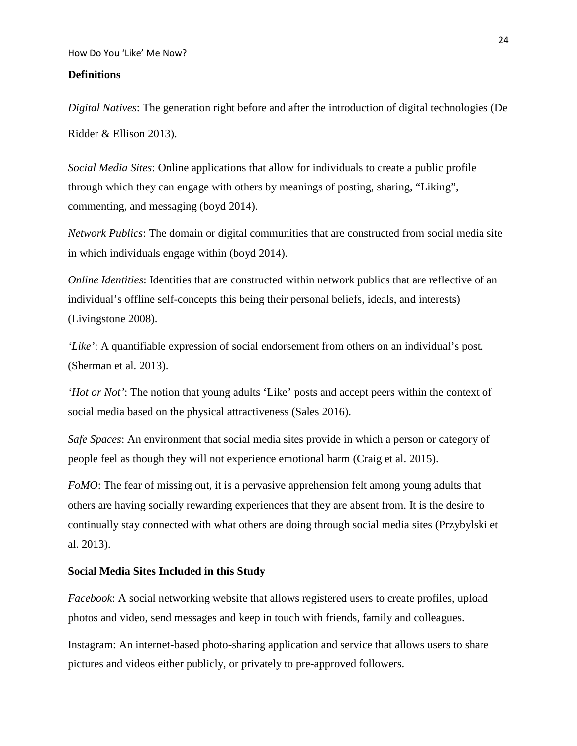#### **Definitions**

*Digital Natives*: The generation right before and after the introduction of digital technologies (De Ridder & Ellison 2013).

*Social Media Sites*: Online applications that allow for individuals to create a public profile through which they can engage with others by meanings of posting, sharing, "Liking", commenting, and messaging (boyd 2014).

*Network Publics*: The domain or digital communities that are constructed from social media site in which individuals engage within (boyd 2014).

*Online Identities*: Identities that are constructed within network publics that are reflective of an individual's offline self-concepts this being their personal beliefs, ideals, and interests) (Livingstone 2008).

*'Like'*: A quantifiable expression of social endorsement from others on an individual's post. (Sherman et al. 2013).

*'Hot or Not'*: The notion that young adults 'Like' posts and accept peers within the context of social media based on the physical attractiveness (Sales 2016).

*Safe Spaces*: An environment that social media sites provide in which a person or category of people feel as though they will not experience emotional harm (Craig et al. 2015).

*FoMO*: The fear of missing out, it is a pervasive apprehension felt among young adults that others are having socially rewarding experiences that they are absent from. It is the desire to continually stay connected with what others are doing through social media sites (Przybylski et al. 2013).

#### **Social Media Sites Included in this Study**

*Facebook*: A social networking website that allows registered users to create profiles, upload photos and video, send messages and keep in touch with friends, family and colleagues.

Instagram: An internet-based photo-sharing application and service that allows users to share pictures and videos either publicly, or privately to pre-approved followers.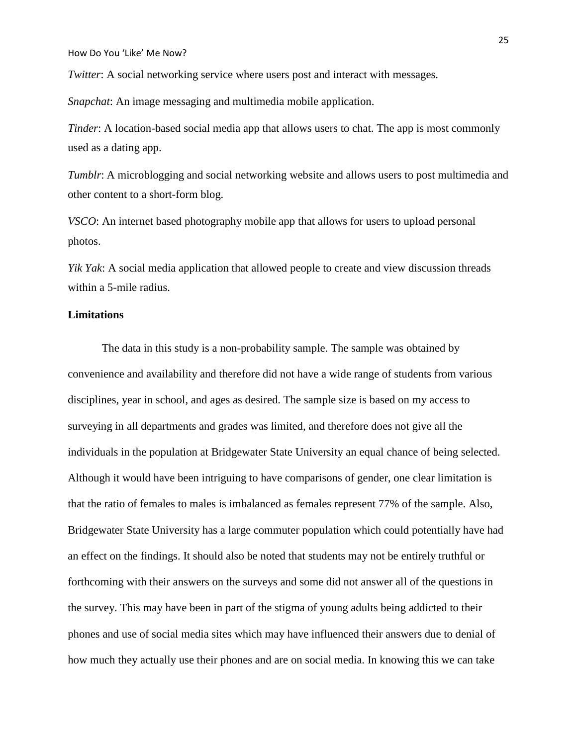*Twitter*: A social networking service where users post and interact with messages.

*Snapchat*: An image messaging and multimedia mobile application.

*Tinder*: A location-based social media app that allows users to chat. The app is most commonly used as a dating app.

*Tumblr*: A microblogging and social networking website and allows users to post multimedia and other content to a short-form blog.

*VSCO*: An internet based photography mobile app that allows for users to upload personal photos.

*Yik Yak*: A social media application that allowed people to create and view discussion threads within a 5-mile radius.

## **Limitations**

The data in this study is a non-probability sample. The sample was obtained by convenience and availability and therefore did not have a wide range of students from various disciplines, year in school, and ages as desired. The sample size is based on my access to surveying in all departments and grades was limited, and therefore does not give all the individuals in the population at Bridgewater State University an equal chance of being selected. Although it would have been intriguing to have comparisons of gender, one clear limitation is that the ratio of females to males is imbalanced as females represent 77% of the sample. Also, Bridgewater State University has a large commuter population which could potentially have had an effect on the findings. It should also be noted that students may not be entirely truthful or forthcoming with their answers on the surveys and some did not answer all of the questions in the survey. This may have been in part of the stigma of young adults being addicted to their phones and use of social media sites which may have influenced their answers due to denial of how much they actually use their phones and are on social media. In knowing this we can take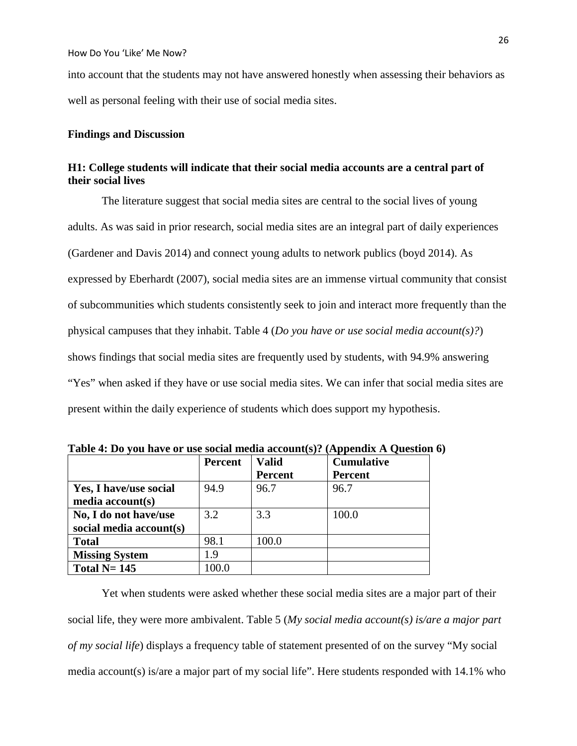into account that the students may not have answered honestly when assessing their behaviors as well as personal feeling with their use of social media sites.

## **Findings and Discussion**

## **H1: College students will indicate that their social media accounts are a central part of their social lives**

The literature suggest that social media sites are central to the social lives of young adults. As was said in prior research, social media sites are an integral part of daily experiences (Gardener and Davis 2014) and connect young adults to network publics (boyd 2014). As expressed by Eberhardt (2007), social media sites are an immense virtual community that consist of subcommunities which students consistently seek to join and interact more frequently than the physical campuses that they inhabit. Table 4 (*Do you have or use social media account(s)?*) shows findings that social media sites are frequently used by students, with 94.9% answering "Yes" when asked if they have or use social media sites. We can infer that social media sites are present within the daily experience of students which does support my hypothesis.

|                         | <b>Percent</b> | <b>Valid</b>   | <b>Cumulative</b> |
|-------------------------|----------------|----------------|-------------------|
|                         |                | <b>Percent</b> | <b>Percent</b>    |
| Yes, I have/use social  | 94.9           | 96.7           | 96.7              |
| media account(s)        |                |                |                   |
| No, I do not have/use   | 3.2            | 3.3            | 100.0             |
| social media account(s) |                |                |                   |
| <b>Total</b>            | 98.1           | 100.0          |                   |
| <b>Missing System</b>   | 1.9            |                |                   |
| Total $N=145$           | .00.0          |                |                   |

**Table 4: Do you have or use social media account(s)? (Appendix A Question 6)**

Yet when students were asked whether these social media sites are a major part of their social life, they were more ambivalent. Table 5 (*My social media account(s) is/are a major part of my social life*) displays a frequency table of statement presented of on the survey "My social media account(s) is/are a major part of my social life". Here students responded with 14.1% who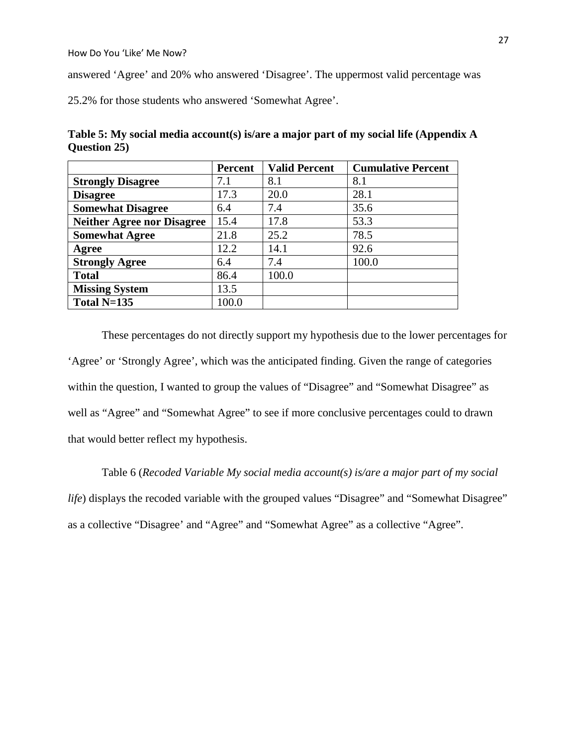answered 'Agree' and 20% who answered 'Disagree'. The uppermost valid percentage was

25.2% for those students who answered 'Somewhat Agree'.

**Table 5: My social media account(s) is/are a major part of my social life (Appendix A Question 25)**

|                                   | <b>Percent</b> | <b>Valid Percent</b> | <b>Cumulative Percent</b> |
|-----------------------------------|----------------|----------------------|---------------------------|
| <b>Strongly Disagree</b>          | 7.1            | 8.1                  | 8.1                       |
| <b>Disagree</b>                   | 17.3           | 20.0                 | 28.1                      |
| <b>Somewhat Disagree</b>          | 6.4            | 7.4                  | 35.6                      |
| <b>Neither Agree nor Disagree</b> | 15.4           | 17.8                 | 53.3                      |
| <b>Somewhat Agree</b>             | 21.8           | 25.2                 | 78.5                      |
| Agree                             | 12.2           | 14.1                 | 92.6                      |
| <b>Strongly Agree</b>             | 6.4            | 7.4                  | 100.0                     |
| <b>Total</b>                      | 86.4           | 100.0                |                           |
| <b>Missing System</b>             | 13.5           |                      |                           |
| Total $N=135$                     | 100.0          |                      |                           |

These percentages do not directly support my hypothesis due to the lower percentages for 'Agree' or 'Strongly Agree', which was the anticipated finding. Given the range of categories within the question, I wanted to group the values of "Disagree" and "Somewhat Disagree" as well as "Agree" and "Somewhat Agree" to see if more conclusive percentages could to drawn that would better reflect my hypothesis.

Table 6 (*Recoded Variable My social media account(s) is/are a major part of my social life*) displays the recoded variable with the grouped values "Disagree" and "Somewhat Disagree" as a collective "Disagree' and "Agree" and "Somewhat Agree" as a collective "Agree".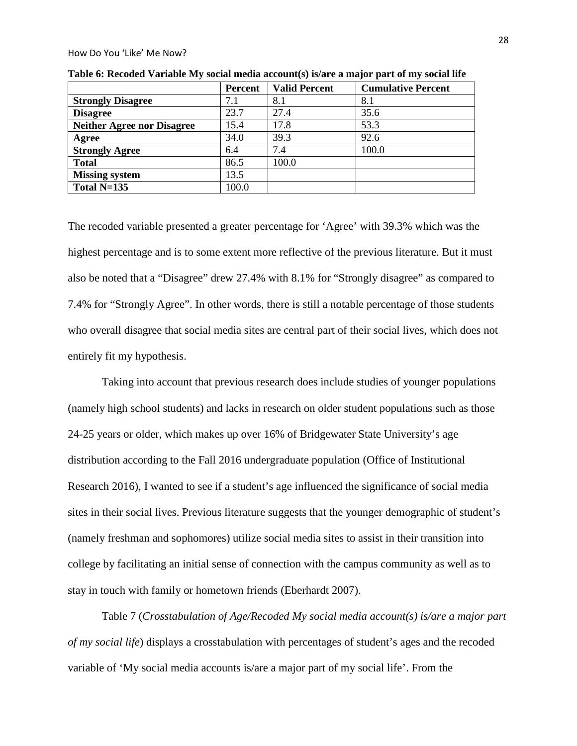|                                   | Percent | <b>Valid Percent</b> | <b>Cumulative Percent</b> |
|-----------------------------------|---------|----------------------|---------------------------|
| <b>Strongly Disagree</b>          | 7.1     | 8.1                  | 8.1                       |
| <b>Disagree</b>                   | 23.7    | 27.4                 | 35.6                      |
| <b>Neither Agree nor Disagree</b> | 15.4    | 17.8                 | 53.3                      |
| Agree                             | 34.0    | 39.3                 | 92.6                      |
| <b>Strongly Agree</b>             | 6.4     | 7.4                  | 100.0                     |
| <b>Total</b>                      | 86.5    | 100.0                |                           |
| <b>Missing system</b>             | 13.5    |                      |                           |
| Total N=135                       | 100.0   |                      |                           |

**Table 6: Recoded Variable My social media account(s) is/are a major part of my social life**

The recoded variable presented a greater percentage for 'Agree' with 39.3% which was the highest percentage and is to some extent more reflective of the previous literature. But it must also be noted that a "Disagree" drew 27.4% with 8.1% for "Strongly disagree" as compared to 7.4% for "Strongly Agree". In other words, there is still a notable percentage of those students who overall disagree that social media sites are central part of their social lives, which does not entirely fit my hypothesis.

Taking into account that previous research does include studies of younger populations (namely high school students) and lacks in research on older student populations such as those 24-25 years or older, which makes up over 16% of Bridgewater State University's age distribution according to the Fall 2016 undergraduate population (Office of Institutional Research 2016), I wanted to see if a student's age influenced the significance of social media sites in their social lives. Previous literature suggests that the younger demographic of student's (namely freshman and sophomores) utilize social media sites to assist in their transition into college by facilitating an initial sense of connection with the campus community as well as to stay in touch with family or hometown friends (Eberhardt 2007).

Table 7 (*Crosstabulation of Age/Recoded My social media account(s) is/are a major part of my social life*) displays a crosstabulation with percentages of student's ages and the recoded variable of 'My social media accounts is/are a major part of my social life'. From the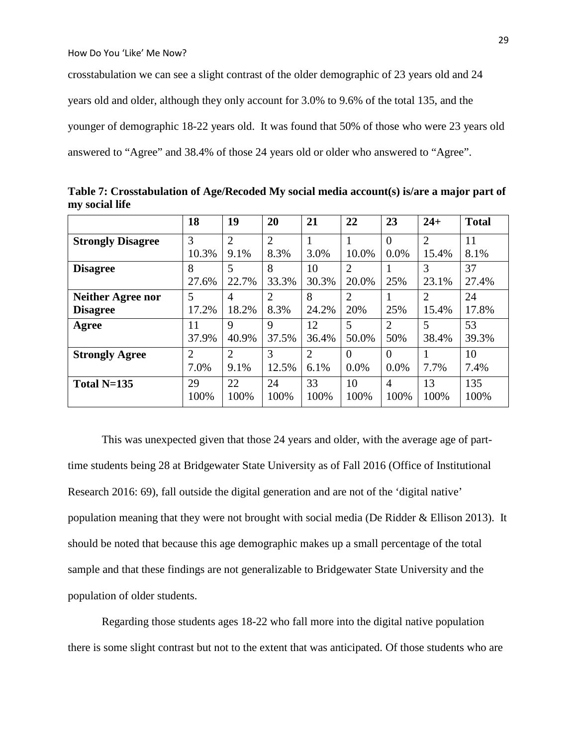crosstabulation we can see a slight contrast of the older demographic of 23 years old and 24 years old and older, although they only account for 3.0% to 9.6% of the total 135, and the younger of demographic 18-22 years old. It was found that 50% of those who were 23 years old answered to "Agree" and 38.4% of those 24 years old or older who answered to "Agree".

|                          | 18             | 19             | 20             | 21             | 22             | 23             | $24+$          | <b>Total</b> |
|--------------------------|----------------|----------------|----------------|----------------|----------------|----------------|----------------|--------------|
| <b>Strongly Disagree</b> | 3              | $\overline{2}$ | $\overline{2}$ |                |                | $\Omega$       | $\overline{2}$ | 11           |
|                          | 10.3%          | 9.1%           | 8.3%           | 3.0%           | 10.0%          | 0.0%           | 15.4%          | 8.1%         |
| <b>Disagree</b>          | 8              | 5              | 8              | 10             | $\overline{2}$ |                | 3              | 37           |
|                          | 27.6%          | 22.7%          | 33.3%          | 30.3%          | 20.0%          | 25%            | 23.1%          | 27.4%        |
| <b>Neither Agree nor</b> | 5              | 4              | $\overline{2}$ | 8              | $\overline{2}$ |                | $\overline{2}$ | 24           |
| <b>Disagree</b>          | 17.2%          | 18.2%          | 8.3%           | 24.2%          | 20%            | 25%            | 15.4%          | 17.8%        |
| Agree                    | 11             | 9              | 9              | 12             | 5              | $\overline{2}$ | 5              | 53           |
|                          | 37.9%          | 40.9%          | 37.5%          | 36.4%          | 50.0%          | 50%            | 38.4%          | 39.3%        |
| <b>Strongly Agree</b>    | $\overline{2}$ | $\overline{2}$ | 3              | $\overline{2}$ | $\theta$       | $\Omega$       |                | 10           |
|                          | 7.0%           | 9.1%           | 12.5%          | 6.1%           | $0.0\%$        | 0.0%           | 7.7%           | 7.4%         |
| Total $N=135$            | 29             | 22             | 24             | 33             | 10             | $\overline{4}$ | 13             | 135          |
|                          | 100%           | 100%           | 100%           | 100%           | 100%           | 100%           | 100%           | 100%         |

**Table 7: Crosstabulation of Age/Recoded My social media account(s) is/are a major part of my social life**

This was unexpected given that those 24 years and older, with the average age of parttime students being 28 at Bridgewater State University as of Fall 2016 (Office of Institutional Research 2016: 69), fall outside the digital generation and are not of the 'digital native' population meaning that they were not brought with social media (De Ridder & Ellison 2013). It should be noted that because this age demographic makes up a small percentage of the total sample and that these findings are not generalizable to Bridgewater State University and the population of older students.

Regarding those students ages 18-22 who fall more into the digital native population there is some slight contrast but not to the extent that was anticipated. Of those students who are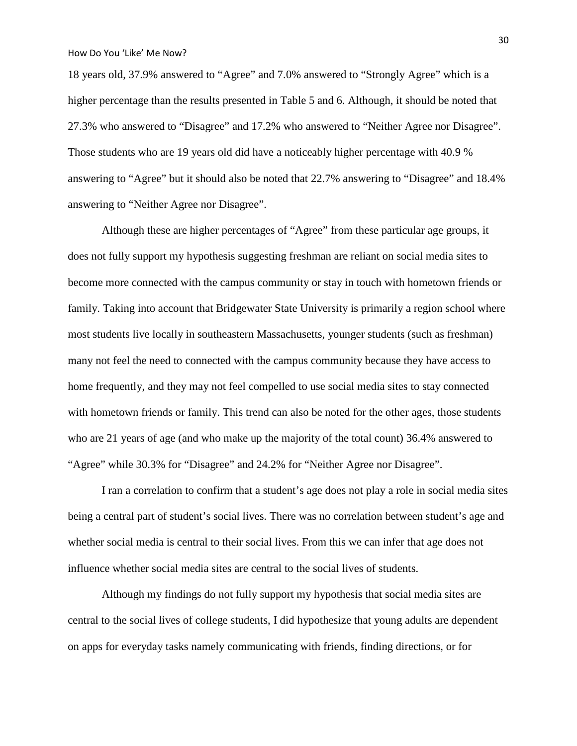18 years old, 37.9% answered to "Agree" and 7.0% answered to "Strongly Agree" which is a higher percentage than the results presented in Table 5 and 6. Although, it should be noted that 27.3% who answered to "Disagree" and 17.2% who answered to "Neither Agree nor Disagree". Those students who are 19 years old did have a noticeably higher percentage with 40.9 % answering to "Agree" but it should also be noted that 22.7% answering to "Disagree" and 18.4% answering to "Neither Agree nor Disagree".

Although these are higher percentages of "Agree" from these particular age groups, it does not fully support my hypothesis suggesting freshman are reliant on social media sites to become more connected with the campus community or stay in touch with hometown friends or family. Taking into account that Bridgewater State University is primarily a region school where most students live locally in southeastern Massachusetts, younger students (such as freshman) many not feel the need to connected with the campus community because they have access to home frequently, and they may not feel compelled to use social media sites to stay connected with hometown friends or family. This trend can also be noted for the other ages, those students who are 21 years of age (and who make up the majority of the total count) 36.4% answered to "Agree" while 30.3% for "Disagree" and 24.2% for "Neither Agree nor Disagree".

I ran a correlation to confirm that a student's age does not play a role in social media sites being a central part of student's social lives. There was no correlation between student's age and whether social media is central to their social lives. From this we can infer that age does not influence whether social media sites are central to the social lives of students.

Although my findings do not fully support my hypothesis that social media sites are central to the social lives of college students, I did hypothesize that young adults are dependent on apps for everyday tasks namely communicating with friends, finding directions, or for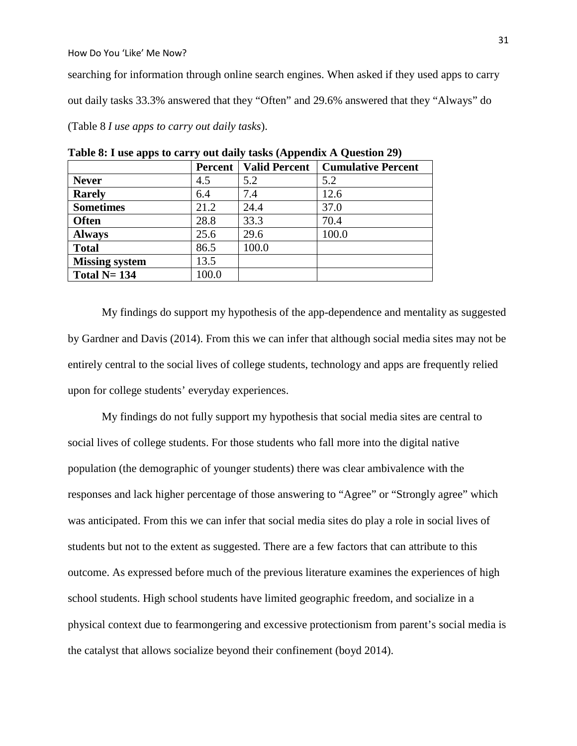searching for information through online search engines. When asked if they used apps to carry out daily tasks 33.3% answered that they "Often" and 29.6% answered that they "Always" do (Table 8 *I use apps to carry out daily tasks*).

|  |  |  | Table 8: I use apps to carry out daily tasks (Appendix A Question 29) |
|--|--|--|-----------------------------------------------------------------------|
|  |  |  |                                                                       |

|                       |       | <b>Percent   Valid Percent</b> | <b>Cumulative Percent</b> |
|-----------------------|-------|--------------------------------|---------------------------|
| <b>Never</b>          | 4.5   | 5.2                            | 5.2                       |
| <b>Rarely</b>         | 6.4   | 7.4                            | 12.6                      |
| <b>Sometimes</b>      | 21.2  | 24.4                           | 37.0                      |
| <b>Often</b>          | 28.8  | 33.3                           | 70.4                      |
| <b>Always</b>         | 25.6  | 29.6                           | 100.0                     |
| <b>Total</b>          | 86.5  | 100.0                          |                           |
| <b>Missing system</b> | 13.5  |                                |                           |
| Total $N=134$         | 100.0 |                                |                           |

My findings do support my hypothesis of the app-dependence and mentality as suggested by Gardner and Davis (2014). From this we can infer that although social media sites may not be entirely central to the social lives of college students, technology and apps are frequently relied upon for college students' everyday experiences.

My findings do not fully support my hypothesis that social media sites are central to social lives of college students. For those students who fall more into the digital native population (the demographic of younger students) there was clear ambivalence with the responses and lack higher percentage of those answering to "Agree" or "Strongly agree" which was anticipated. From this we can infer that social media sites do play a role in social lives of students but not to the extent as suggested. There are a few factors that can attribute to this outcome. As expressed before much of the previous literature examines the experiences of high school students. High school students have limited geographic freedom, and socialize in a physical context due to fearmongering and excessive protectionism from parent's social media is the catalyst that allows socialize beyond their confinement (boyd 2014).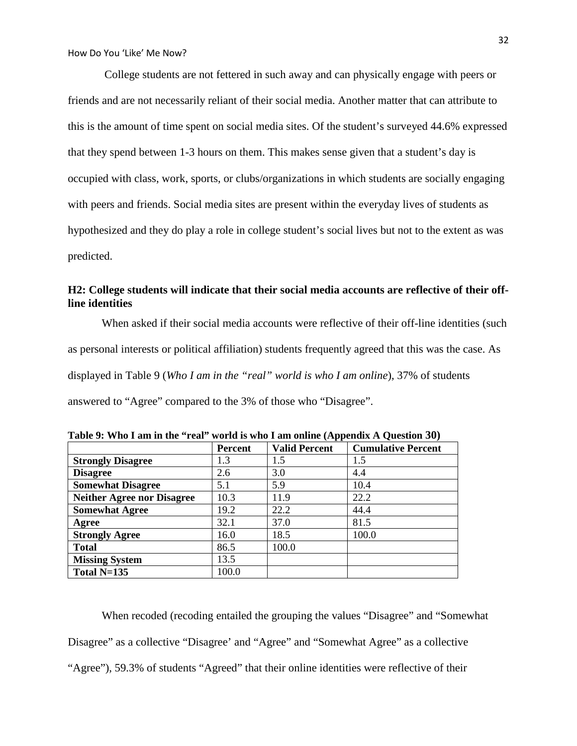College students are not fettered in such away and can physically engage with peers or friends and are not necessarily reliant of their social media. Another matter that can attribute to this is the amount of time spent on social media sites. Of the student's surveyed 44.6% expressed that they spend between 1-3 hours on them. This makes sense given that a student's day is occupied with class, work, sports, or clubs/organizations in which students are socially engaging with peers and friends. Social media sites are present within the everyday lives of students as hypothesized and they do play a role in college student's social lives but not to the extent as was predicted.

# **H2: College students will indicate that their social media accounts are reflective of their offline identities**

When asked if their social media accounts were reflective of their off-line identities (such as personal interests or political affiliation) students frequently agreed that this was the case. As displayed in Table 9 (*Who I am in the "real" world is who I am online*), 37% of students answered to "Agree" compared to the 3% of those who "Disagree".

|                                   | Percent | <b>Valid Percent</b> | <b>Cumulative Percent</b> |
|-----------------------------------|---------|----------------------|---------------------------|
| <b>Strongly Disagree</b>          | 1.3     | 1.5                  | 1.5                       |
| <b>Disagree</b>                   | 2.6     | 3.0                  | 4.4                       |
| <b>Somewhat Disagree</b>          | 5.1     | 5.9                  | 10.4                      |
| <b>Neither Agree nor Disagree</b> | 10.3    | 11.9                 | 22.2                      |
| <b>Somewhat Agree</b>             | 19.2    | 22.2                 | 44.4                      |
| Agree                             | 32.1    | 37.0                 | 81.5                      |
| <b>Strongly Agree</b>             | 16.0    | 18.5                 | 100.0                     |
| <b>Total</b>                      | 86.5    | 100.0                |                           |
| <b>Missing System</b>             | 13.5    |                      |                           |
| Total N=135                       | 100.0   |                      |                           |

**Table 9: Who I am in the "real" world is who I am online (Appendix A Question 30)**

When recoded (recoding entailed the grouping the values "Disagree" and "Somewhat Disagree" as a collective "Disagree' and "Agree" and "Somewhat Agree" as a collective "Agree"), 59.3% of students "Agreed" that their online identities were reflective of their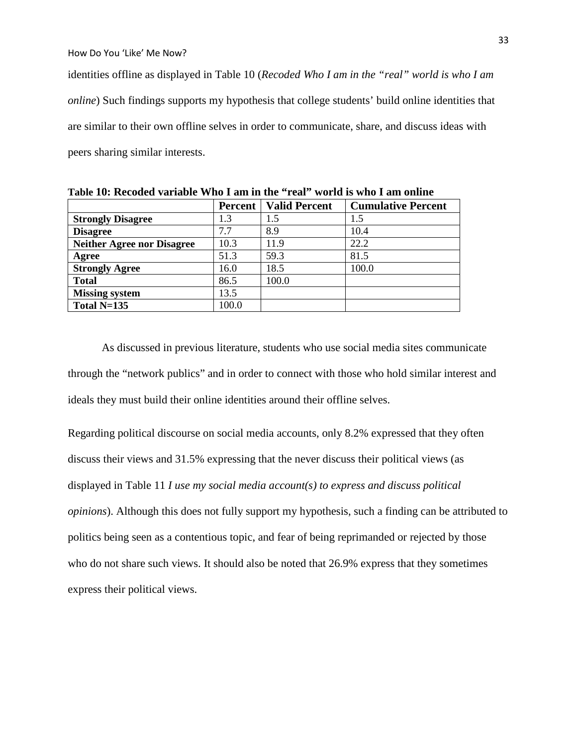identities offline as displayed in Table 10 (*Recoded Who I am in the "real" world is who I am online*) Such findings supports my hypothesis that college students' build online identities that are similar to their own offline selves in order to communicate, share, and discuss ideas with peers sharing similar interests.

|                                   | <b>Percent</b> | <b>Valid Percent</b> | <b>Cumulative Percent</b> |
|-----------------------------------|----------------|----------------------|---------------------------|
| <b>Strongly Disagree</b>          | 1.3            | 1.5                  | 1.5                       |
| <b>Disagree</b>                   | 7.7            | 8.9                  | 10.4                      |
| <b>Neither Agree nor Disagree</b> | 10.3           | 11.9                 | 22.2                      |
| Agree                             | 51.3           | 59.3                 | 81.5                      |
| <b>Strongly Agree</b>             | 16.0           | 18.5                 | 100.0                     |
| <b>Total</b>                      | 86.5           | 100.0                |                           |
| <b>Missing system</b>             | 13.5           |                      |                           |
| Total $N=135$                     | 100.0          |                      |                           |

**Table 10: Recoded variable Who I am in the "real" world is who I am online**

As discussed in previous literature, students who use social media sites communicate through the "network publics" and in order to connect with those who hold similar interest and ideals they must build their online identities around their offline selves.

Regarding political discourse on social media accounts, only 8.2% expressed that they often discuss their views and 31.5% expressing that the never discuss their political views (as displayed in Table 11 *I use my social media account(s) to express and discuss political opinions*). Although this does not fully support my hypothesis, such a finding can be attributed to politics being seen as a contentious topic, and fear of being reprimanded or rejected by those who do not share such views. It should also be noted that 26.9% express that they sometimes express their political views.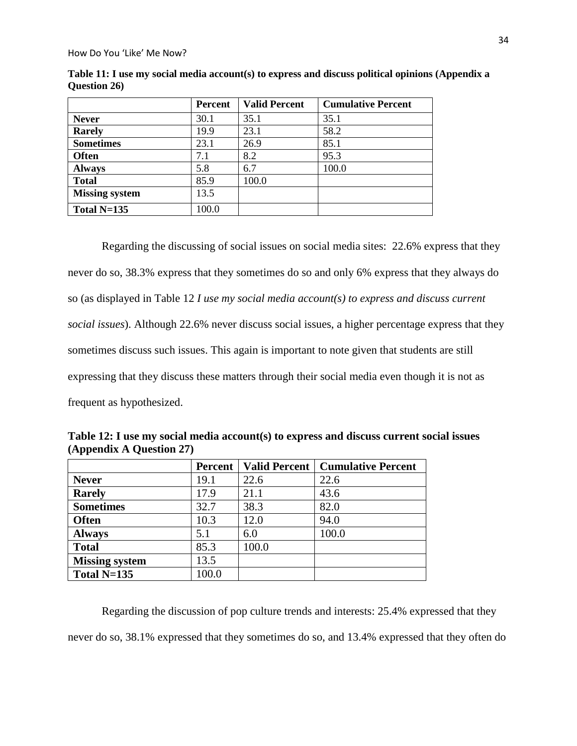|                       | <b>Percent</b> | <b>Valid Percent</b> | <b>Cumulative Percent</b> |
|-----------------------|----------------|----------------------|---------------------------|
| <b>Never</b>          | 30.1           | 35.1                 | 35.1                      |
| <b>Rarely</b>         | 19.9           | 23.1                 | 58.2                      |
| <b>Sometimes</b>      | 23.1           | 26.9                 | 85.1                      |
| <b>Often</b>          | 7.1            | 8.2                  | 95.3                      |
| <b>Always</b>         | 5.8            | 6.7                  | 100.0                     |
| <b>Total</b>          | 85.9           | 100.0                |                           |
| <b>Missing system</b> | 13.5           |                      |                           |
| Total $N=135$         | 100.0          |                      |                           |

**Table 11: I use my social media account(s) to express and discuss political opinions (Appendix a Question 26)**

Regarding the discussing of social issues on social media sites: 22.6% express that they never do so, 38.3% express that they sometimes do so and only 6% express that they always do so (as displayed in Table 12 *I use my social media account(s) to express and discuss current social issues*). Although 22.6% never discuss social issues, a higher percentage express that they sometimes discuss such issues. This again is important to note given that students are still expressing that they discuss these matters through their social media even though it is not as frequent as hypothesized.

|                       | Percent |       | Valid Percent   Cumulative Percent |
|-----------------------|---------|-------|------------------------------------|
| <b>Never</b>          | 19.1    | 22.6  | 22.6                               |
| <b>Rarely</b>         | 17.9    | 21.1  | 43.6                               |
| <b>Sometimes</b>      | 32.7    | 38.3  | 82.0                               |
| <b>Often</b>          | 10.3    | 12.0  | 94.0                               |
| <b>Always</b>         | 5.1     | 6.0   | 100.0                              |
| <b>Total</b>          | 85.3    | 100.0 |                                    |
| <b>Missing system</b> | 13.5    |       |                                    |
| Total $N=135$         | 100.0   |       |                                    |

**Table 12: I use my social media account(s) to express and discuss current social issues (Appendix A Question 27)**

Regarding the discussion of pop culture trends and interests: 25.4% expressed that they never do so, 38.1% expressed that they sometimes do so, and 13.4% expressed that they often do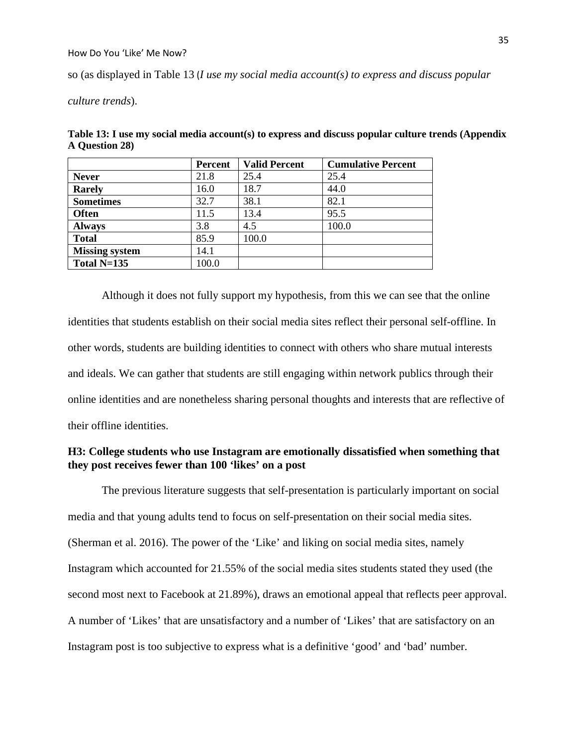so (as displayed in Table 13 (*I use my social media account(s) to express and discuss popular* 

*culture trends*).

| Table 13: I use my social media account(s) to express and discuss popular culture trends (Appendix |  |
|----------------------------------------------------------------------------------------------------|--|
| A Question 28)                                                                                     |  |

|                       | Percent | <b>Valid Percent</b> | <b>Cumulative Percent</b> |
|-----------------------|---------|----------------------|---------------------------|
| <b>Never</b>          | 21.8    | 25.4                 | 25.4                      |
| <b>Rarely</b>         | 16.0    | 18.7                 | 44.0                      |
| <b>Sometimes</b>      | 32.7    | 38.1                 | 82.1                      |
| <b>Often</b>          | 11.5    | 13.4                 | 95.5                      |
| <b>Always</b>         | 3.8     | 4.5                  | 100.0                     |
| <b>Total</b>          | 85.9    | 100.0                |                           |
| <b>Missing system</b> | 14.1    |                      |                           |
| Total $N=135$         | 100.0   |                      |                           |

Although it does not fully support my hypothesis, from this we can see that the online identities that students establish on their social media sites reflect their personal self-offline. In other words, students are building identities to connect with others who share mutual interests and ideals. We can gather that students are still engaging within network publics through their online identities and are nonetheless sharing personal thoughts and interests that are reflective of their offline identities.

# **H3: College students who use Instagram are emotionally dissatisfied when something that they post receives fewer than 100 'likes' on a post**

The previous literature suggests that self-presentation is particularly important on social media and that young adults tend to focus on self-presentation on their social media sites. (Sherman et al. 2016). The power of the 'Like' and liking on social media sites, namely Instagram which accounted for 21.55% of the social media sites students stated they used (the second most next to Facebook at 21.89%), draws an emotional appeal that reflects peer approval. A number of 'Likes' that are unsatisfactory and a number of 'Likes' that are satisfactory on an Instagram post is too subjective to express what is a definitive 'good' and 'bad' number.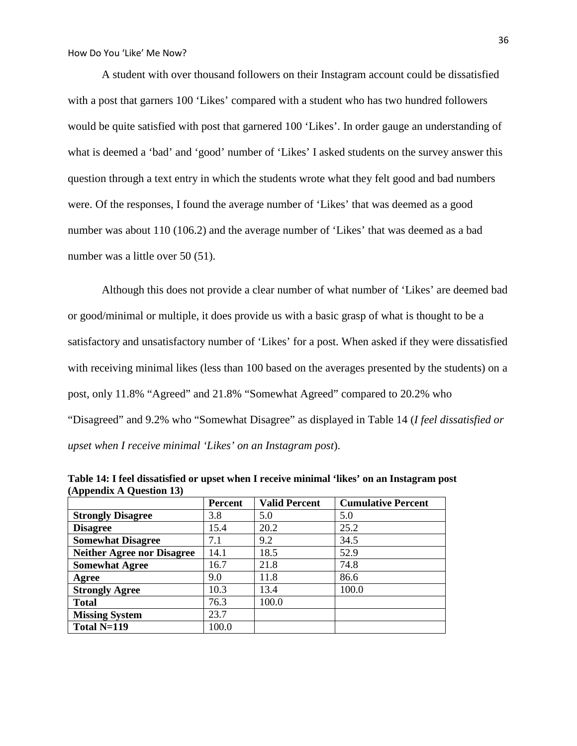A student with over thousand followers on their Instagram account could be dissatisfied with a post that garners 100 'Likes' compared with a student who has two hundred followers would be quite satisfied with post that garnered 100 'Likes'. In order gauge an understanding of what is deemed a 'bad' and 'good' number of 'Likes' I asked students on the survey answer this question through a text entry in which the students wrote what they felt good and bad numbers were. Of the responses, I found the average number of 'Likes' that was deemed as a good number was about 110 (106.2) and the average number of 'Likes' that was deemed as a bad number was a little over 50 (51).

Although this does not provide a clear number of what number of 'Likes' are deemed bad or good/minimal or multiple, it does provide us with a basic grasp of what is thought to be a satisfactory and unsatisfactory number of 'Likes' for a post. When asked if they were dissatisfied with receiving minimal likes (less than 100 based on the averages presented by the students) on a post, only 11.8% "Agreed" and 21.8% "Somewhat Agreed" compared to 20.2% who "Disagreed" and 9.2% who "Somewhat Disagree" as displayed in Table 14 (*I feel dissatisfied or upset when I receive minimal 'Likes' on an Instagram post*).

|                                   | Percent | <b>Valid Percent</b> | <b>Cumulative Percent</b> |
|-----------------------------------|---------|----------------------|---------------------------|
| <b>Strongly Disagree</b>          | 3.8     | 5.0                  | 5.0                       |
| <b>Disagree</b>                   | 15.4    | 20.2                 | 25.2                      |
| <b>Somewhat Disagree</b>          | 7.1     | 9.2                  | 34.5                      |
| <b>Neither Agree nor Disagree</b> | 14.1    | 18.5                 | 52.9                      |
| <b>Somewhat Agree</b>             | 16.7    | 21.8                 | 74.8                      |
| Agree                             | 9.0     | 11.8                 | 86.6                      |
| <b>Strongly Agree</b>             | 10.3    | 13.4                 | 100.0                     |
| <b>Total</b>                      | 76.3    | 100.0                |                           |
| <b>Missing System</b>             | 23.7    |                      |                           |
| Total N=119                       | 100.0   |                      |                           |

**Table 14: I feel dissatisfied or upset when I receive minimal 'likes' on an Instagram post (Appendix A Question 13)**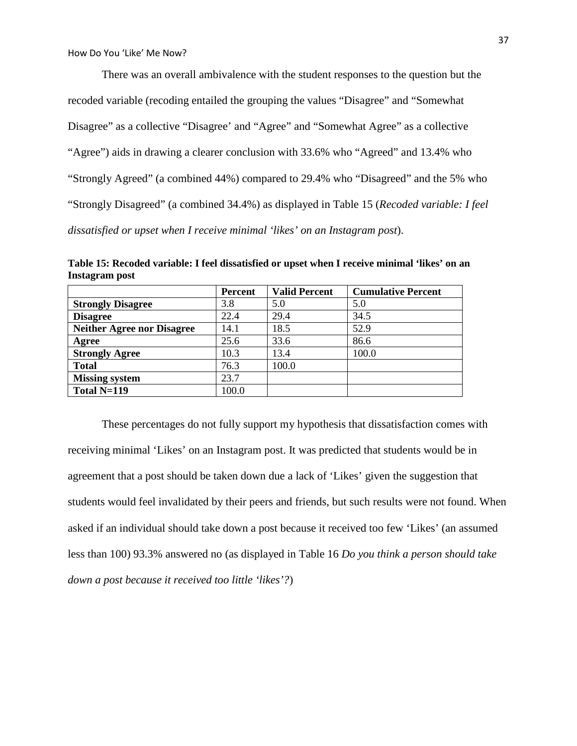There was an overall ambivalence with the student responses to the question but the recoded variable (recoding entailed the grouping the values "Disagree" and "Somewhat Disagree" as a collective "Disagree' and "Agree" and "Somewhat Agree" as a collective "Agree") aids in drawing a clearer conclusion with 33.6% who "Agreed" and 13.4% who "Strongly Agreed" (a combined 44%) compared to 29.4% who "Disagreed" and the 5% who "Strongly Disagreed" (a combined 34.4%) as displayed in Table 15 (*Recoded variable: I feel dissatisfied or upset when I receive minimal 'likes' on an Instagram post*).

**Table 15: Recoded variable: I feel dissatisfied or upset when I receive minimal 'likes' on an Instagram post**

|                                   | <b>Percent</b> | <b>Valid Percent</b> | <b>Cumulative Percent</b> |
|-----------------------------------|----------------|----------------------|---------------------------|
| <b>Strongly Disagree</b>          | 3.8            | 5.0                  | 5.0                       |
| <b>Disagree</b>                   | 22.4           | 29.4                 | 34.5                      |
| <b>Neither Agree nor Disagree</b> | 14.1           | 18.5                 | 52.9                      |
| Agree                             | 25.6           | 33.6                 | 86.6                      |
| <b>Strongly Agree</b>             | 10.3           | 13.4                 | 100.0                     |
| <b>Total</b>                      | 76.3           | 100.0                |                           |
| <b>Missing system</b>             | 23.7           |                      |                           |
| Total $N=119$                     | 100.0          |                      |                           |

These percentages do not fully support my hypothesis that dissatisfaction comes with receiving minimal 'Likes' on an Instagram post. It was predicted that students would be in agreement that a post should be taken down due a lack of 'Likes' given the suggestion that students would feel invalidated by their peers and friends, but such results were not found. When asked if an individual should take down a post because it received too few 'Likes' (an assumed less than 100) 93.3% answered no (as displayed in Table 16 *Do you think a person should take down a post because it received too little 'likes'?*)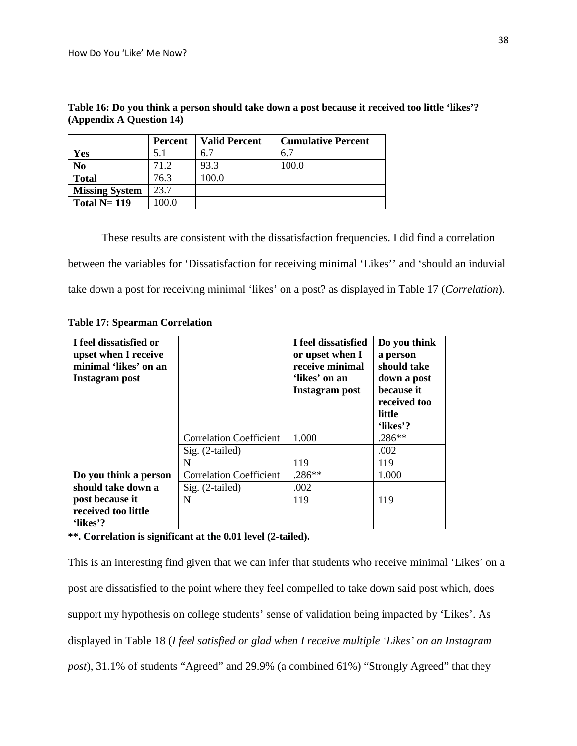|                       | Percent | <b>Valid Percent</b> | <b>Cumulative Percent</b> |
|-----------------------|---------|----------------------|---------------------------|
| Yes                   | 5.1     | 6.7                  | 6.7                       |
| No                    | 71.2    | 93.3                 | 100.0                     |
| <b>Total</b>          | 76.3    | 100.0                |                           |
| <b>Missing System</b> | 23.7    |                      |                           |
| Total $N = 119$       | 100.0   |                      |                           |

**Table 16: Do you think a person should take down a post because it received too little 'likes'? (Appendix A Question 14)**

These results are consistent with the dissatisfaction frequencies. I did find a correlation

between the variables for 'Dissatisfaction for receiving minimal 'Likes'' and 'should an induvial

take down a post for receiving minimal 'likes' on a post? as displayed in Table 17 (*Correlation*).

| <b>Table 17: Spearman Correlation</b> |  |
|---------------------------------------|--|
|---------------------------------------|--|

| I feel dissatisfied or<br>upset when I receive<br>minimal 'likes' on an<br>Instagram post |                                | I feel dissatisfied<br>or upset when I<br>receive minimal<br>'likes' on an<br>Instagram post | Do you think<br>a person<br>should take<br>down a post<br>because it<br>received too<br>little<br>'likes'? |
|-------------------------------------------------------------------------------------------|--------------------------------|----------------------------------------------------------------------------------------------|------------------------------------------------------------------------------------------------------------|
|                                                                                           | <b>Correlation Coefficient</b> | 1.000                                                                                        | $.286**$                                                                                                   |
|                                                                                           | $Sig. (2-tailed)$              |                                                                                              | .002                                                                                                       |
|                                                                                           | N                              | 119                                                                                          | 119                                                                                                        |
| Do you think a person                                                                     | <b>Correlation Coefficient</b> | $.286**$                                                                                     | 1.000                                                                                                      |
| should take down a                                                                        | $Sig. (2-tailed)$              | .002                                                                                         |                                                                                                            |
| post because it                                                                           | N                              | 119                                                                                          | 119                                                                                                        |
| received too little<br>'likes'?                                                           |                                |                                                                                              |                                                                                                            |

**\*\*. Correlation is significant at the 0.01 level (2-tailed).**

This is an interesting find given that we can infer that students who receive minimal 'Likes' on a post are dissatisfied to the point where they feel compelled to take down said post which, does support my hypothesis on college students' sense of validation being impacted by 'Likes'. As displayed in Table 18 (*I feel satisfied or glad when I receive multiple 'Likes' on an Instagram post*), 31.1% of students "Agreed" and 29.9% (a combined 61%) "Strongly Agreed" that they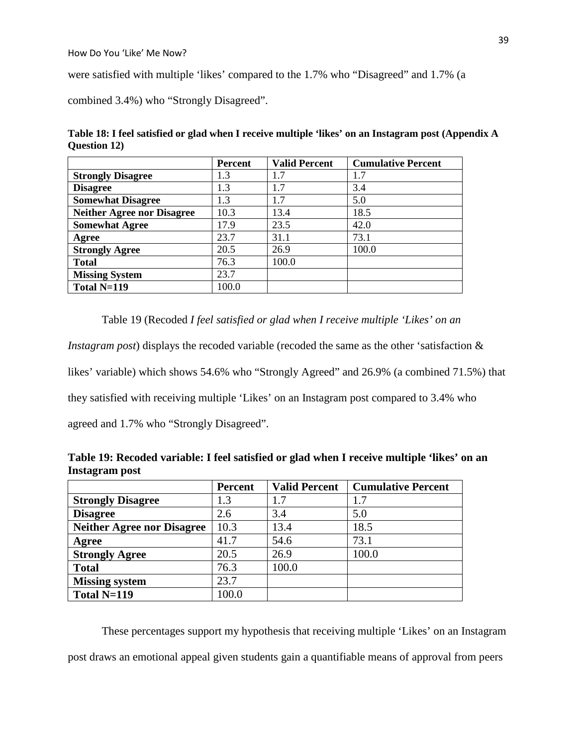were satisfied with multiple 'likes' compared to the 1.7% who "Disagreed" and 1.7% (a

combined 3.4%) who "Strongly Disagreed".

| Table 18: I feel satisfied or glad when I receive multiple 'likes' on an Instagram post (Appendix A |  |  |
|-----------------------------------------------------------------------------------------------------|--|--|
| Question 12)                                                                                        |  |  |

|                                   | Percent | <b>Valid Percent</b> | <b>Cumulative Percent</b> |
|-----------------------------------|---------|----------------------|---------------------------|
| <b>Strongly Disagree</b>          | 1.3     | 1.7                  | 1.7                       |
| <b>Disagree</b>                   | 1.3     | 1.7                  | 3.4                       |
| <b>Somewhat Disagree</b>          | 1.3     | 1.7                  | 5.0                       |
| <b>Neither Agree nor Disagree</b> | 10.3    | 13.4                 | 18.5                      |
| <b>Somewhat Agree</b>             | 17.9    | 23.5                 | 42.0                      |
| Agree                             | 23.7    | 31.1                 | 73.1                      |
| <b>Strongly Agree</b>             | 20.5    | 26.9                 | 100.0                     |
| <b>Total</b>                      | 76.3    | 100.0                |                           |
| <b>Missing System</b>             | 23.7    |                      |                           |
| Total N=119                       | 100.0   |                      |                           |

Table 19 (Recoded *I feel satisfied or glad when I receive multiple 'Likes' on an* 

*Instagram post*) displays the recoded variable (recoded the same as the other 'satisfaction &

likes' variable) which shows 54.6% who "Strongly Agreed" and 26.9% (a combined 71.5%) that

they satisfied with receiving multiple 'Likes' on an Instagram post compared to 3.4% who

agreed and 1.7% who "Strongly Disagreed".

| Table 19: Recoded variable: I feel satisfied or glad when I receive multiple 'likes' on an |  |  |
|--------------------------------------------------------------------------------------------|--|--|
| Instagram post                                                                             |  |  |

|                                   | <b>Percent</b> | <b>Valid Percent</b> | <b>Cumulative Percent</b> |
|-----------------------------------|----------------|----------------------|---------------------------|
| <b>Strongly Disagree</b>          | 1.3            | 1.7                  | 1.7                       |
| <b>Disagree</b>                   | 2.6            | 3.4                  | 5.0                       |
| <b>Neither Agree nor Disagree</b> | 10.3           | 13.4                 | 18.5                      |
| Agree                             | 41.7           | 54.6                 | 73.1                      |
| <b>Strongly Agree</b>             | 20.5           | 26.9                 | 100.0                     |
| <b>Total</b>                      | 76.3           | 100.0                |                           |
| <b>Missing system</b>             | 23.7           |                      |                           |
| Total $N=119$                     | 100.0          |                      |                           |

These percentages support my hypothesis that receiving multiple 'Likes' on an Instagram post draws an emotional appeal given students gain a quantifiable means of approval from peers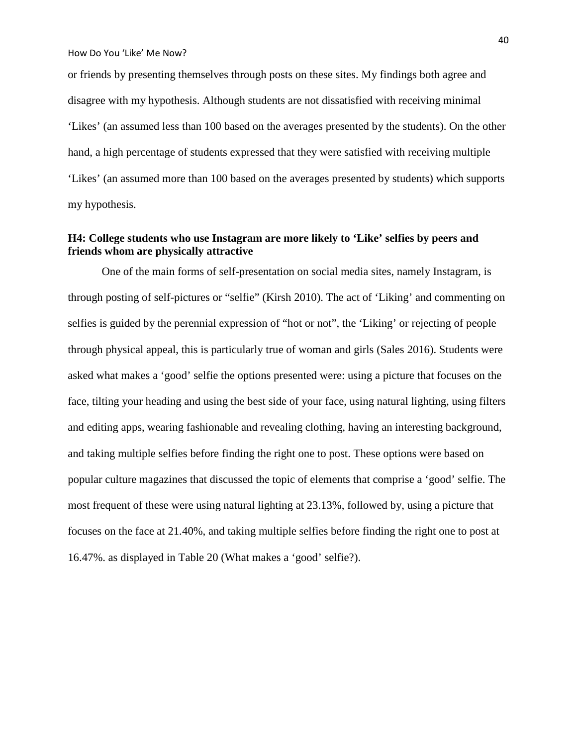or friends by presenting themselves through posts on these sites. My findings both agree and disagree with my hypothesis. Although students are not dissatisfied with receiving minimal 'Likes' (an assumed less than 100 based on the averages presented by the students). On the other hand, a high percentage of students expressed that they were satisfied with receiving multiple 'Likes' (an assumed more than 100 based on the averages presented by students) which supports my hypothesis.

# **H4: College students who use Instagram are more likely to 'Like' selfies by peers and friends whom are physically attractive**

One of the main forms of self-presentation on social media sites, namely Instagram, is through posting of self-pictures or "selfie" (Kirsh 2010). The act of 'Liking' and commenting on selfies is guided by the perennial expression of "hot or not", the 'Liking' or rejecting of people through physical appeal, this is particularly true of woman and girls (Sales 2016). Students were asked what makes a 'good' selfie the options presented were: using a picture that focuses on the face, tilting your heading and using the best side of your face, using natural lighting, using filters and editing apps, wearing fashionable and revealing clothing, having an interesting background, and taking multiple selfies before finding the right one to post. These options were based on popular culture magazines that discussed the topic of elements that comprise a 'good' selfie. The most frequent of these were using natural lighting at 23.13%, followed by, using a picture that focuses on the face at 21.40%, and taking multiple selfies before finding the right one to post at 16.47%. as displayed in Table 20 (What makes a 'good' selfie?).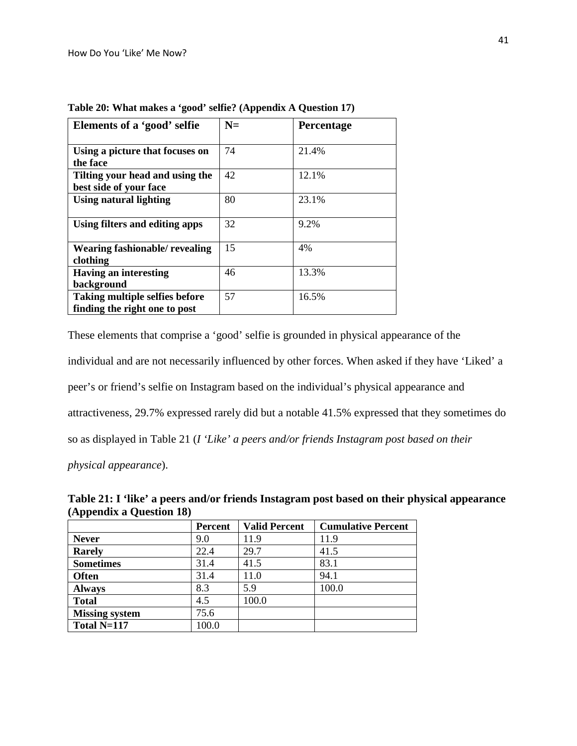| Elements of a 'good' selfie                                            | $N =$ | <b>Percentage</b> |
|------------------------------------------------------------------------|-------|-------------------|
| Using a picture that focuses on<br>the face                            | 74    | 21.4%             |
| Tilting your head and using the<br>best side of your face              | 42    | 12.1%             |
| Using natural lighting                                                 | 80    | 23.1%             |
| Using filters and editing apps                                         | 32    | 9.2%              |
| Wearing fashionable/ revealing<br>clothing                             | 15    | 4%                |
| <b>Having an interesting</b><br>background                             | 46    | 13.3%             |
| <b>Taking multiple selfies before</b><br>finding the right one to post | 57    | 16.5%             |

**Table 20: What makes a 'good' selfie? (Appendix A Question 17)**

These elements that comprise a 'good' selfie is grounded in physical appearance of the individual and are not necessarily influenced by other forces. When asked if they have 'Liked' a peer's or friend's selfie on Instagram based on the individual's physical appearance and attractiveness, 29.7% expressed rarely did but a notable 41.5% expressed that they sometimes do so as displayed in Table 21 (*I 'Like' a peers and/or friends Instagram post based on their* 

*physical appearance*).

|                          | Table 21: I 'like' a peers and/or friends Instagram post based on their physical appearance |  |  |
|--------------------------|---------------------------------------------------------------------------------------------|--|--|
| (Appendix a Question 18) |                                                                                             |  |  |

|                       | <b>Percent</b> | <b>Valid Percent</b> | <b>Cumulative Percent</b> |
|-----------------------|----------------|----------------------|---------------------------|
| <b>Never</b>          | 9.0            | 11.9                 | 11.9                      |
| <b>Rarely</b>         | 22.4           | 29.7                 | 41.5                      |
| <b>Sometimes</b>      | 31.4           | 41.5                 | 83.1                      |
| <b>Often</b>          | 31.4           | 11.0                 | 94.1                      |
| <b>Always</b>         | 8.3            | 5.9                  | 100.0                     |
| <b>Total</b>          | 4.5            | 100.0                |                           |
| <b>Missing system</b> | 75.6           |                      |                           |
| Total N=117           | 100.0          |                      |                           |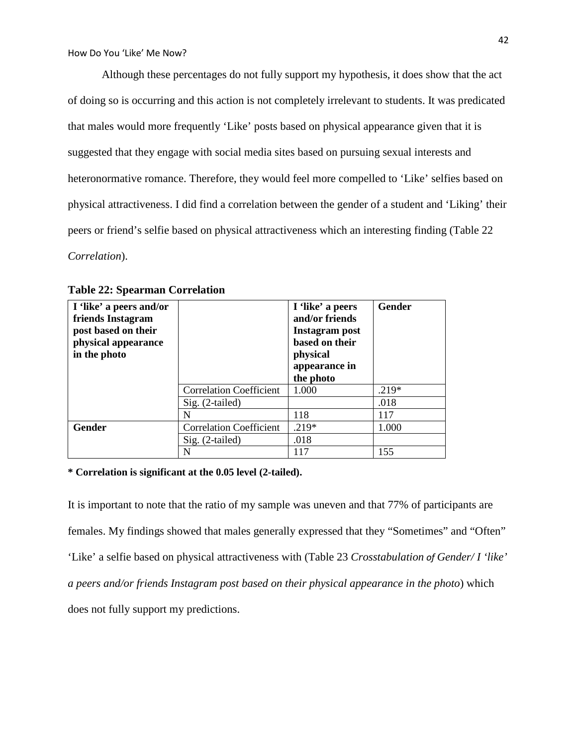Although these percentages do not fully support my hypothesis, it does show that the act of doing so is occurring and this action is not completely irrelevant to students. It was predicated that males would more frequently 'Like' posts based on physical appearance given that it is suggested that they engage with social media sites based on pursuing sexual interests and heteronormative romance. Therefore, they would feel more compelled to 'Like' selfies based on physical attractiveness. I did find a correlation between the gender of a student and 'Liking' their peers or friend's selfie based on physical attractiveness which an interesting finding (Table 22 *Correlation*).

| I 'like' a peers and/or<br>friends Instagram |                                | I 'like' a peers<br>and/or friends     | <b>Gender</b> |
|----------------------------------------------|--------------------------------|----------------------------------------|---------------|
| post based on their<br>physical appearance   |                                | Instagram post<br>based on their       |               |
| in the photo                                 |                                | physical<br>appearance in<br>the photo |               |
|                                              | <b>Correlation Coefficient</b> | 1.000                                  | $.219*$       |
|                                              | $Sig. (2-tailed)$              |                                        | .018          |
|                                              | N                              | 118                                    | 117           |
| <b>Gender</b>                                | <b>Correlation Coefficient</b> | $.219*$                                | 1.000         |
|                                              | $Sig. (2-tailed)$              | .018                                   |               |
|                                              | N                              | 117                                    | 155           |

## **Table 22: Spearman Correlation**

**\* Correlation is significant at the 0.05 level (2-tailed).**

It is important to note that the ratio of my sample was uneven and that 77% of participants are females. My findings showed that males generally expressed that they "Sometimes" and "Often" 'Like' a selfie based on physical attractiveness with (Table 23 *Crosstabulation of Gender/ I 'like' a peers and/or friends Instagram post based on their physical appearance in the photo*) which does not fully support my predictions.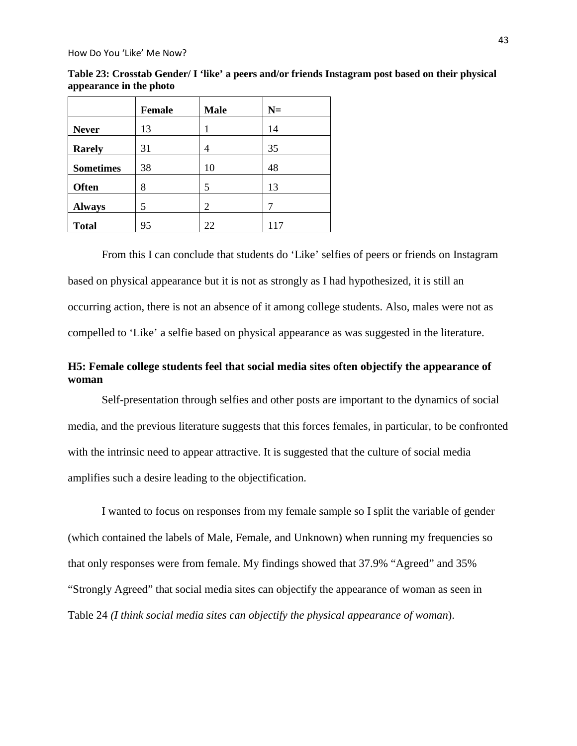|                  | <b>Female</b> | <b>Male</b> | $N=$ |
|------------------|---------------|-------------|------|
| <b>Never</b>     | 13            | 1           | 14   |
| <b>Rarely</b>    | 31            | 4           | 35   |
| <b>Sometimes</b> | 38            | 10          | 48   |
| <b>Often</b>     | 8             | 5           | 13   |
| <b>Always</b>    | 5             | 2           | 7    |
| <b>Total</b>     | 95            | 22          | 117  |

**Table 23: Crosstab Gender/ I 'like' a peers and/or friends Instagram post based on their physical appearance in the photo**

From this I can conclude that students do 'Like' selfies of peers or friends on Instagram based on physical appearance but it is not as strongly as I had hypothesized, it is still an occurring action, there is not an absence of it among college students. Also, males were not as compelled to 'Like' a selfie based on physical appearance as was suggested in the literature.

# **H5: Female college students feel that social media sites often objectify the appearance of woman**

Self-presentation through selfies and other posts are important to the dynamics of social media, and the previous literature suggests that this forces females, in particular, to be confronted with the intrinsic need to appear attractive. It is suggested that the culture of social media amplifies such a desire leading to the objectification.

I wanted to focus on responses from my female sample so I split the variable of gender (which contained the labels of Male, Female, and Unknown) when running my frequencies so that only responses were from female. My findings showed that 37.9% "Agreed" and 35% "Strongly Agreed" that social media sites can objectify the appearance of woman as seen in Table 24 *(I think social media sites can objectify the physical appearance of woman*).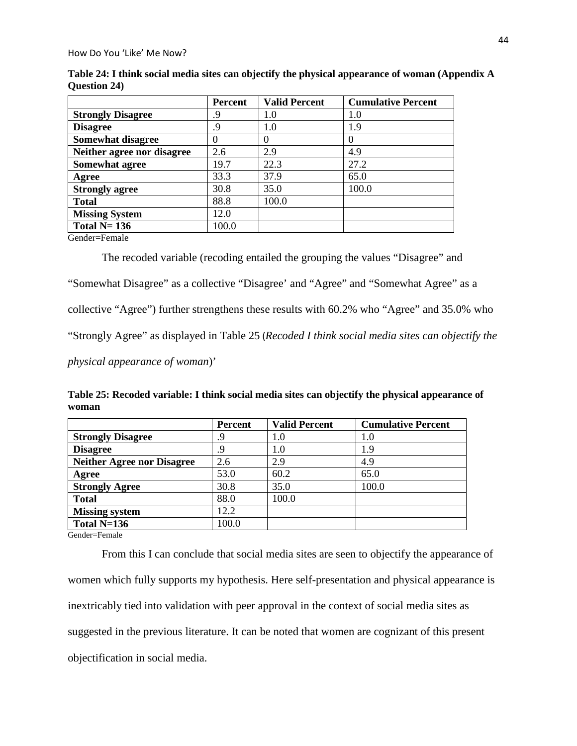|                            | Percent  | <b>Valid Percent</b> | <b>Cumulative Percent</b> |
|----------------------------|----------|----------------------|---------------------------|
| <b>Strongly Disagree</b>   | .9       | 1.0                  | $1.0\,$                   |
| <b>Disagree</b>            | .9       | 1.0                  | 1.9                       |
| <b>Somewhat disagree</b>   | $\theta$ | 0                    |                           |
| Neither agree nor disagree | 2.6      | 2.9                  | 4.9                       |
| Somewhat agree             | 19.7     | 22.3                 | 27.2                      |
| Agree                      | 33.3     | 37.9                 | 65.0                      |
| <b>Strongly agree</b>      | 30.8     | 35.0                 | 100.0                     |
| <b>Total</b>               | 88.8     | 100.0                |                           |
| <b>Missing System</b>      | 12.0     |                      |                           |
| Total $N=136$              | 100.0    |                      |                           |

**Table 24: I think social media sites can objectify the physical appearance of woman (Appendix A Question 24)**

Gender=Female

The recoded variable (recoding entailed the grouping the values "Disagree" and "Somewhat Disagree" as a collective "Disagree' and "Agree" and "Somewhat Agree" as a collective "Agree") further strengthens these results with 60.2% who "Agree" and 35.0% who "Strongly Agree" as displayed in Table 25 (*Recoded I think social media sites can objectify the physical appearance of woman*)'

**Table 25: Recoded variable: I think social media sites can objectify the physical appearance of woman**

|                                   | <b>Percent</b> | <b>Valid Percent</b> | <b>Cumulative Percent</b> |
|-----------------------------------|----------------|----------------------|---------------------------|
| <b>Strongly Disagree</b>          | .9             | 1.0                  | 1.0                       |
| <b>Disagree</b>                   | .9             | 1.0                  | 1.9                       |
| <b>Neither Agree nor Disagree</b> | 2.6            | 2.9                  | 4.9                       |
| Agree                             | 53.0           | 60.2                 | 65.0                      |
| <b>Strongly Agree</b>             | 30.8           | 35.0                 | 100.0                     |
| <b>Total</b>                      | 88.0           | 100.0                |                           |
| <b>Missing system</b>             | 12.2           |                      |                           |
| Total $N=136$                     | 100.0          |                      |                           |

Gender=Female

From this I can conclude that social media sites are seen to objectify the appearance of women which fully supports my hypothesis. Here self-presentation and physical appearance is inextricably tied into validation with peer approval in the context of social media sites as suggested in the previous literature. It can be noted that women are cognizant of this present objectification in social media.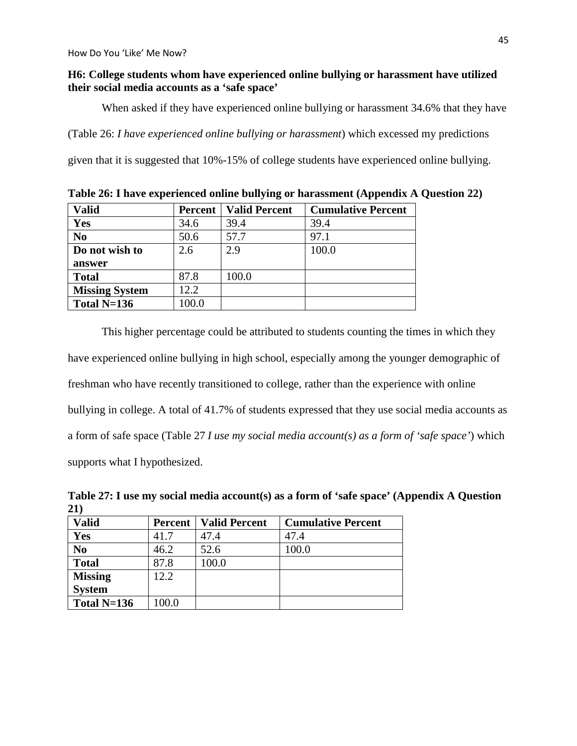## **H6: College students whom have experienced online bullying or harassment have utilized their social media accounts as a 'safe space'**

When asked if they have experienced online bullying or harassment 34.6% that they have

(Table 26: *I have experienced online bullying or harassment*) which excessed my predictions

given that it is suggested that 10%-15% of college students have experienced online bullying.

| <b>Valid</b>          | <b>Percent</b> | <b>Valid Percent</b> | <b>Cumulative Percent</b> |
|-----------------------|----------------|----------------------|---------------------------|
| Yes                   | 34.6           | 39.4                 | 39.4                      |
| N <sub>0</sub>        | 50.6           | 57.7                 | 97.1                      |
| Do not wish to        | 2.6            | 2.9                  | 100.0                     |
| answer                |                |                      |                           |
| <b>Total</b>          | 87.8           | 100.0                |                           |
| <b>Missing System</b> | 12.2           |                      |                           |
| Total $N=136$         | 100.0          |                      |                           |

**Table 26: I have experienced online bullying or harassment (Appendix A Question 22)**

This higher percentage could be attributed to students counting the times in which they have experienced online bullying in high school, especially among the younger demographic of freshman who have recently transitioned to college, rather than the experience with online bullying in college. A total of 41.7% of students expressed that they use social media accounts as a form of safe space (Table 27 *I use my social media account(s) as a form of 'safe space'*) which supports what I hypothesized.

**Table 27: I use my social media account(s) as a form of 'safe space' (Appendix A Question 21)**

| <b>Valid</b>   | Percent | <b>Valid Percent</b> | <b>Cumulative Percent</b> |
|----------------|---------|----------------------|---------------------------|
| Yes            | 41.7    | 47.4                 | 47.4                      |
| N <sub>0</sub> | 46.2    | 52.6                 | 100.0                     |
| <b>Total</b>   | 87.8    | 100.0                |                           |
| <b>Missing</b> | 12.2    |                      |                           |
| <b>System</b>  |         |                      |                           |
| Total $N=136$  | 100.0   |                      |                           |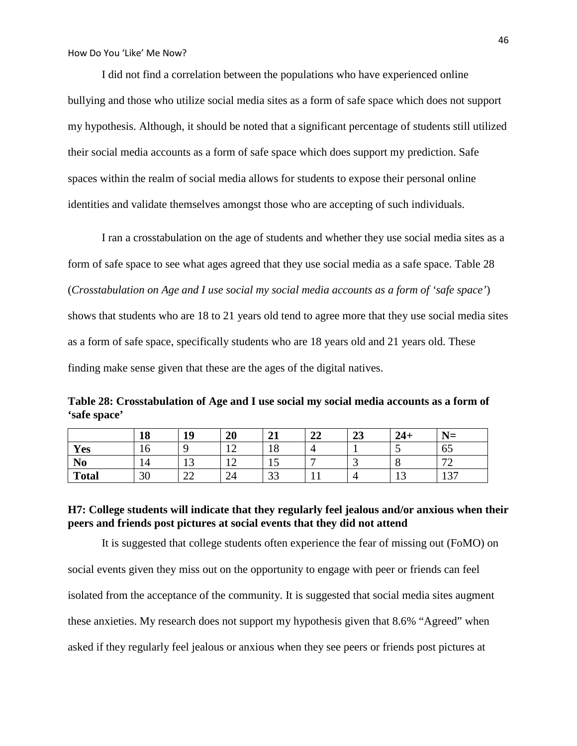I did not find a correlation between the populations who have experienced online bullying and those who utilize social media sites as a form of safe space which does not support my hypothesis. Although, it should be noted that a significant percentage of students still utilized their social media accounts as a form of safe space which does support my prediction. Safe spaces within the realm of social media allows for students to expose their personal online identities and validate themselves amongst those who are accepting of such individuals.

I ran a crosstabulation on the age of students and whether they use social media sites as a form of safe space to see what ages agreed that they use social media as a safe space. Table 28 (*Crosstabulation on Age and I use social my social media accounts as a form of 'safe space'*) shows that students who are 18 to 21 years old tend to agree more that they use social media sites as a form of safe space, specifically students who are 18 years old and 21 years old. These finding make sense given that these are the ages of the digital natives.

**Table 28: Crosstabulation of Age and I use social my social media accounts as a form of 'safe space'**

|                | 18 | 10      | 20           | $^{\sim}$<br>41 | $\mathbf{A}$<br>◢◢ | ^^<br>49 | $24+$        | $N =$                    |
|----------------|----|---------|--------------|-----------------|--------------------|----------|--------------|--------------------------|
| Yes            | 10 |         | $1^{\wedge}$ | 1 O<br>18       |                    |          | $\sim$ .     | O <sub>2</sub>           |
| N <sub>o</sub> | 14 |         | $\sim$       | ⊥⊃              | -                  | <u>ب</u> | $\cdot$      | $\overline{\phantom{a}}$ |
| <b>Total</b>   | 30 | ^^<br>∼ | 24           | 22<br>ээ        | . .                |          | $\sim$<br>⊥ື | 127<br>1 J J             |

## **H7: College students will indicate that they regularly feel jealous and/or anxious when their peers and friends post pictures at social events that they did not attend**

It is suggested that college students often experience the fear of missing out (FoMO) on social events given they miss out on the opportunity to engage with peer or friends can feel isolated from the acceptance of the community. It is suggested that social media sites augment these anxieties. My research does not support my hypothesis given that 8.6% "Agreed" when asked if they regularly feel jealous or anxious when they see peers or friends post pictures at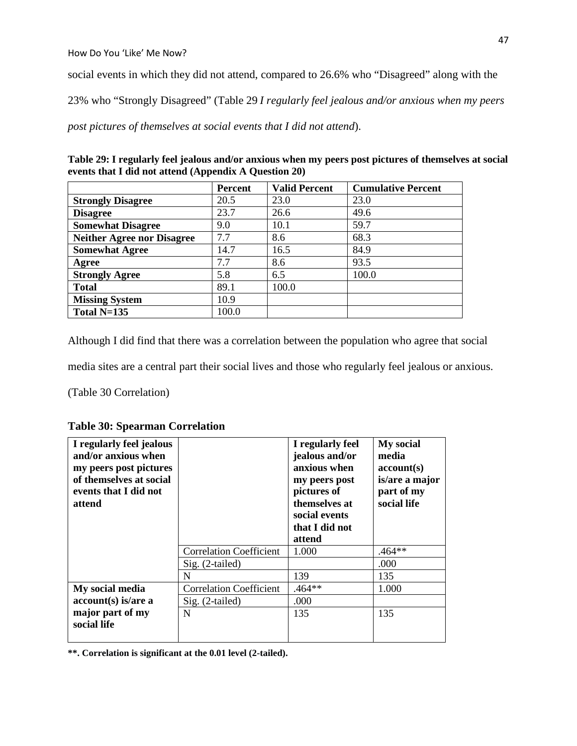social events in which they did not attend, compared to 26.6% who "Disagreed" along with the

23% who "Strongly Disagreed" (Table 29 *I regularly feel jealous and/or anxious when my peers* 

*post pictures of themselves at social events that I did not attend*).

| Table 29: I regularly feel jealous and/or anxious when my peers post pictures of themselves at social |
|-------------------------------------------------------------------------------------------------------|
| events that I did not attend (Appendix A Question 20)                                                 |

|                                   | <b>Percent</b> | <b>Valid Percent</b> | <b>Cumulative Percent</b> |
|-----------------------------------|----------------|----------------------|---------------------------|
| <b>Strongly Disagree</b>          | 20.5           | 23.0                 | 23.0                      |
| <b>Disagree</b>                   | 23.7           | 26.6                 | 49.6                      |
| <b>Somewhat Disagree</b>          | 9.0            | 10.1                 | 59.7                      |
| <b>Neither Agree nor Disagree</b> | 7.7            | 8.6                  | 68.3                      |
| <b>Somewhat Agree</b>             | 14.7           | 16.5                 | 84.9                      |
| Agree                             | 7.7            | 8.6                  | 93.5                      |
| <b>Strongly Agree</b>             | 5.8            | 6.5                  | 100.0                     |
| <b>Total</b>                      | 89.1           | 100.0                |                           |
| <b>Missing System</b>             | 10.9           |                      |                           |
| Total $N=135$                     | 100.0          |                      |                           |

Although I did find that there was a correlation between the population who agree that social

media sites are a central part their social lives and those who regularly feel jealous or anxious.

(Table 30 Correlation)

**Table 30: Spearman Correlation**

| I regularly feel jealous<br>and/or anxious when<br>my peers post pictures<br>of themselves at social<br>events that I did not<br>attend |                                | I regularly feel<br>jealous and/or<br>anxious when<br>my peers post<br>pictures of<br>themselves at<br>social events<br>that I did not<br>attend | <b>My social</b><br>media<br>account(s)<br>is/are a major<br>part of my<br>social life |
|-----------------------------------------------------------------------------------------------------------------------------------------|--------------------------------|--------------------------------------------------------------------------------------------------------------------------------------------------|----------------------------------------------------------------------------------------|
|                                                                                                                                         | <b>Correlation Coefficient</b> | 1.000                                                                                                                                            | $.464**$                                                                               |
|                                                                                                                                         | Sig. (2-tailed)                |                                                                                                                                                  | .000                                                                                   |
|                                                                                                                                         | N                              | 139                                                                                                                                              | 135                                                                                    |
| My social media                                                                                                                         | <b>Correlation Coefficient</b> | $.464**$                                                                                                                                         | 1.000                                                                                  |
| $account(s)$ is/are a                                                                                                                   | Sig. (2-tailed)                | .000                                                                                                                                             |                                                                                        |
| major part of my<br>social life                                                                                                         | N                              | 135                                                                                                                                              | 135                                                                                    |

**\*\*. Correlation is significant at the 0.01 level (2-tailed).**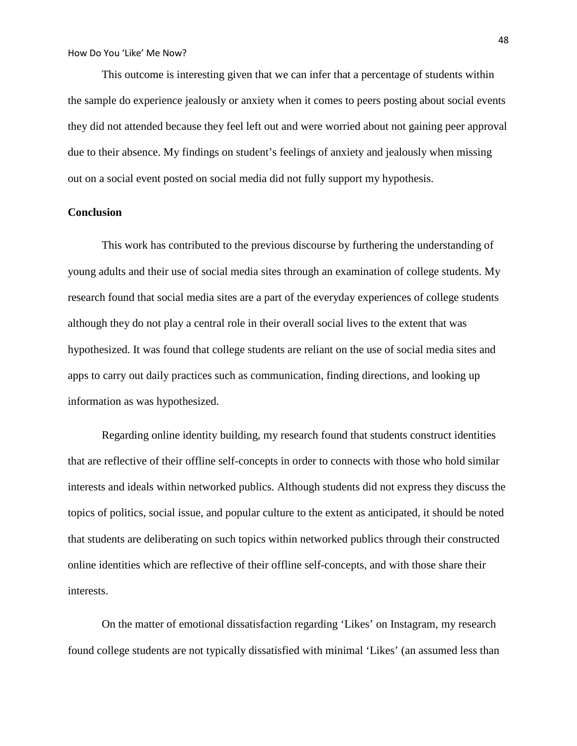This outcome is interesting given that we can infer that a percentage of students within the sample do experience jealously or anxiety when it comes to peers posting about social events they did not attended because they feel left out and were worried about not gaining peer approval due to their absence. My findings on student's feelings of anxiety and jealously when missing out on a social event posted on social media did not fully support my hypothesis.

## **Conclusion**

This work has contributed to the previous discourse by furthering the understanding of young adults and their use of social media sites through an examination of college students. My research found that social media sites are a part of the everyday experiences of college students although they do not play a central role in their overall social lives to the extent that was hypothesized. It was found that college students are reliant on the use of social media sites and apps to carry out daily practices such as communication, finding directions, and looking up information as was hypothesized.

Regarding online identity building, my research found that students construct identities that are reflective of their offline self-concepts in order to connects with those who hold similar interests and ideals within networked publics. Although students did not express they discuss the topics of politics, social issue, and popular culture to the extent as anticipated, it should be noted that students are deliberating on such topics within networked publics through their constructed online identities which are reflective of their offline self-concepts, and with those share their interests.

On the matter of emotional dissatisfaction regarding 'Likes' on Instagram, my research found college students are not typically dissatisfied with minimal 'Likes' (an assumed less than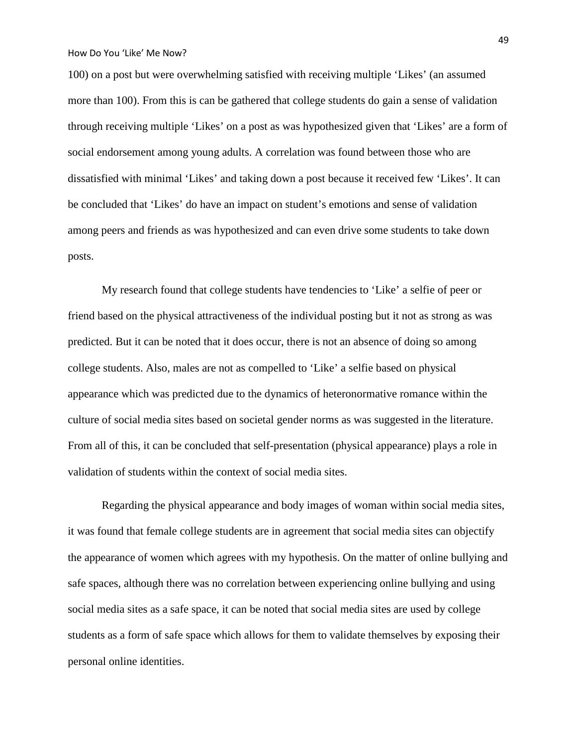100) on a post but were overwhelming satisfied with receiving multiple 'Likes' (an assumed more than 100). From this is can be gathered that college students do gain a sense of validation through receiving multiple 'Likes' on a post as was hypothesized given that 'Likes' are a form of social endorsement among young adults. A correlation was found between those who are dissatisfied with minimal 'Likes' and taking down a post because it received few 'Likes'. It can be concluded that 'Likes' do have an impact on student's emotions and sense of validation among peers and friends as was hypothesized and can even drive some students to take down posts.

My research found that college students have tendencies to 'Like' a selfie of peer or friend based on the physical attractiveness of the individual posting but it not as strong as was predicted. But it can be noted that it does occur, there is not an absence of doing so among college students. Also, males are not as compelled to 'Like' a selfie based on physical appearance which was predicted due to the dynamics of heteronormative romance within the culture of social media sites based on societal gender norms as was suggested in the literature. From all of this, it can be concluded that self-presentation (physical appearance) plays a role in validation of students within the context of social media sites.

Regarding the physical appearance and body images of woman within social media sites, it was found that female college students are in agreement that social media sites can objectify the appearance of women which agrees with my hypothesis. On the matter of online bullying and safe spaces, although there was no correlation between experiencing online bullying and using social media sites as a safe space, it can be noted that social media sites are used by college students as a form of safe space which allows for them to validate themselves by exposing their personal online identities.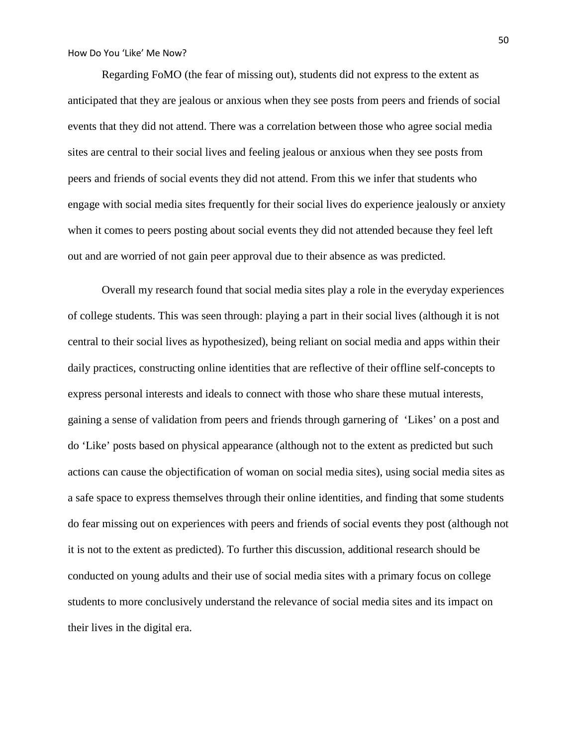Regarding FoMO (the fear of missing out), students did not express to the extent as anticipated that they are jealous or anxious when they see posts from peers and friends of social events that they did not attend. There was a correlation between those who agree social media sites are central to their social lives and feeling jealous or anxious when they see posts from peers and friends of social events they did not attend. From this we infer that students who engage with social media sites frequently for their social lives do experience jealously or anxiety when it comes to peers posting about social events they did not attended because they feel left out and are worried of not gain peer approval due to their absence as was predicted.

Overall my research found that social media sites play a role in the everyday experiences of college students. This was seen through: playing a part in their social lives (although it is not central to their social lives as hypothesized), being reliant on social media and apps within their daily practices, constructing online identities that are reflective of their offline self-concepts to express personal interests and ideals to connect with those who share these mutual interests, gaining a sense of validation from peers and friends through garnering of 'Likes' on a post and do 'Like' posts based on physical appearance (although not to the extent as predicted but such actions can cause the objectification of woman on social media sites), using social media sites as a safe space to express themselves through their online identities, and finding that some students do fear missing out on experiences with peers and friends of social events they post (although not it is not to the extent as predicted). To further this discussion, additional research should be conducted on young adults and their use of social media sites with a primary focus on college students to more conclusively understand the relevance of social media sites and its impact on their lives in the digital era.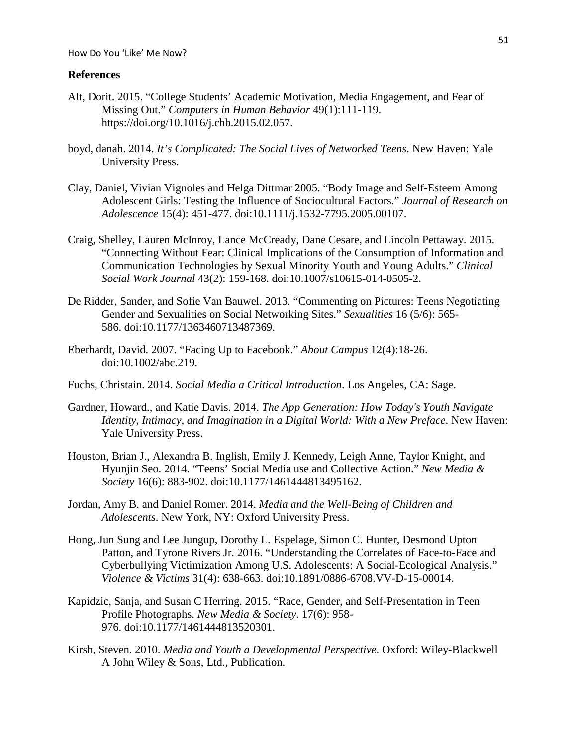#### **References**

- Alt, Dorit. 2015. "College Students' Academic Motivation, Media Engagement, and Fear of Missing Out." *Computers in Human Behavior* 49(1):111-119. https://doi.org/10.1016/j.chb.2015.02.057.
- boyd, danah. 2014. *It's Complicated: The Social Lives of Networked Teens*. New Haven: Yale University Press.
- Clay, Daniel, Vivian Vignoles and Helga Dittmar 2005. "Body Image and Self-Esteem Among Adolescent Girls: Testing the Influence of Sociocultural Factors." *Journal of Research on Adolescence* 15(4): 451-477. doi:10.1111/j.1532-7795.2005.00107.
- Craig, Shelley, Lauren McInroy, Lance McCready, Dane Cesare, and Lincoln Pettaway. 2015. "Connecting Without Fear: Clinical Implications of the Consumption of Information and Communication Technologies by Sexual Minority Youth and Young Adults." *Clinical Social Work Journal* 43(2): 159-168. doi:10.1007/s10615-014-0505-2.
- De Ridder, Sander, and Sofie Van Bauwel. 2013. "Commenting on Pictures: Teens Negotiating Gender and Sexualities on Social Networking Sites." *Sexualities* 16 (5/6): 565- 586. doi:10.1177/1363460713487369.
- Eberhardt, David. 2007. "Facing Up to Facebook." *About Campus* 12(4):18-26. doi:10.1002/abc.219.
- Fuchs, Christain. 2014. *Social Media a Critical Introduction*. Los Angeles, CA: Sage.
- Gardner, Howard., and Katie Davis. 2014. *The App Generation: How Today's Youth Navigate Identity, Intimacy, and Imagination in a Digital World: With a New Preface*. New Haven: Yale University Press.
- Houston, Brian J., Alexandra B. Inglish, Emily J. Kennedy, Leigh Anne, Taylor Knight, and Hyunjin Seo. 2014. "Teens' Social Media use and Collective Action." *New Media & Society* 16(6): 883-902. doi:10.1177/1461444813495162.
- Jordan, Amy B. and Daniel Romer. 2014. *Media and the Well-Being of Children and Adolescents*. New York, NY: Oxford University Press.
- Hong, Jun Sung and Lee Jungup, Dorothy L. Espelage, Simon C. Hunter, Desmond Upton Patton, and Tyrone Rivers Jr. 2016. "Understanding the Correlates of Face-to-Face and Cyberbullying Victimization Among U.S. Adolescents: A Social-Ecological Analysis." *Violence & Victims* 31(4): 638-663. doi:10.1891/0886-6708.VV-D-15-00014.
- Kapidzic, Sanja, and Susan C Herring. 2015. "Race, Gender, and Self-Presentation in Teen Profile Photographs. *New Media & Society*. 17(6): 958- 976. doi:10.1177/1461444813520301.
- Kirsh, Steven. 2010. *Media and Youth a Developmental Perspective*. Oxford: Wiley-Blackwell A John Wiley & Sons, Ltd., Publication.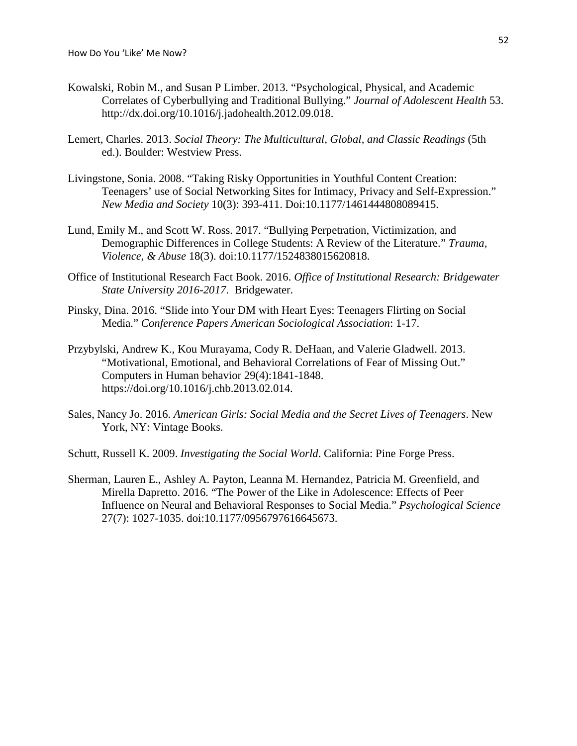- Kowalski, Robin M., and Susan P Limber. 2013. "Psychological, Physical, and Academic Correlates of Cyberbullying and Traditional Bullying." *Journal of Adolescent Health* 53. http://dx.doi.org/10.1016/j.jadohealth.2012.09.018.
- Lemert, Charles. 2013. *Social Theory: The Multicultural, Global, and Classic Readings* (5th ed.). Boulder: Westview Press.
- Livingstone, Sonia. 2008. "Taking Risky Opportunities in Youthful Content Creation: Teenagers' use of Social Networking Sites for Intimacy, Privacy and Self-Expression." *New Media and Society* 10(3): 393-411. Doi:10.1177/1461444808089415.
- Lund, Emily M., and Scott W. Ross. 2017. "Bullying Perpetration, Victimization, and Demographic Differences in College Students: A Review of the Literature." *Trauma, Violence, & Abuse* 18(3). doi:10.1177/1524838015620818.
- Office of Institutional Research Fact Book. 2016. *Office of Institutional Research: Bridgewater State University 2016-2017*. Bridgewater.
- Pinsky, Dina. 2016. "Slide into Your DM with Heart Eyes: Teenagers Flirting on Social Media." *Conference Papers American Sociological Association*: 1-17.
- Przybylski, Andrew K., Kou Murayama, Cody R. DeHaan, and Valerie Gladwell. 2013. "Motivational, Emotional, and Behavioral Correlations of Fear of Missing Out." Computers in Human behavior 29(4):1841-1848. https://doi.org/10.1016/j.chb.2013.02.014.
- Sales, Nancy Jo. 2016. *American Girls: Social Media and the Secret Lives of Teenagers*. New York, NY: Vintage Books.
- Schutt, Russell K. 2009. *Investigating the Social World*. California: Pine Forge Press.
- Sherman, Lauren E., Ashley A. Payton, Leanna M. Hernandez, Patricia M. Greenfield, and Mirella Dapretto. 2016. "The Power of the Like in Adolescence: Effects of Peer Influence on Neural and Behavioral Responses to Social Media." *Psychological Science* 27(7): 1027-1035. doi:10.1177/0956797616645673.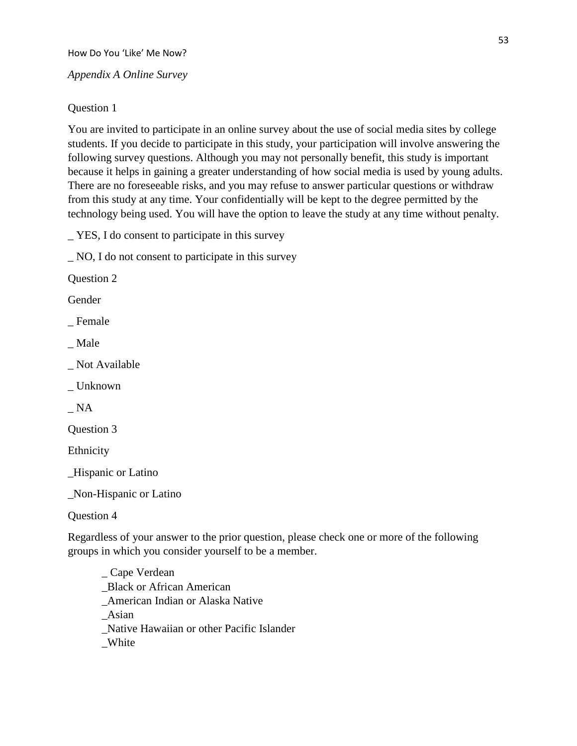## *Appendix A Online Survey*

## Question 1

You are invited to participate in an online survey about the use of social media sites by college students. If you decide to participate in this study, your participation will involve answering the following survey questions. Although you may not personally benefit, this study is important because it helps in gaining a greater understanding of how social media is used by young adults. There are no foreseeable risks, and you may refuse to answer particular questions or withdraw from this study at any time. Your confidentially will be kept to the degree permitted by the technology being used. You will have the option to leave the study at any time without penalty.

\_ YES, I do consent to participate in this survey

\_ NO, I do not consent to participate in this survey

Question 2

Gender

\_ Female

\_ Male

Not Available

\_ Unknown

\_ NA

Question 3

Ethnicity

\_Hispanic or Latino

\_Non-Hispanic or Latino

Question 4

Regardless of your answer to the prior question, please check one or more of the following groups in which you consider yourself to be a member.

\_ Cape Verdean \_Black or African American \_American Indian or Alaska Native \_Asian \_Native Hawaiian or other Pacific Islander \_White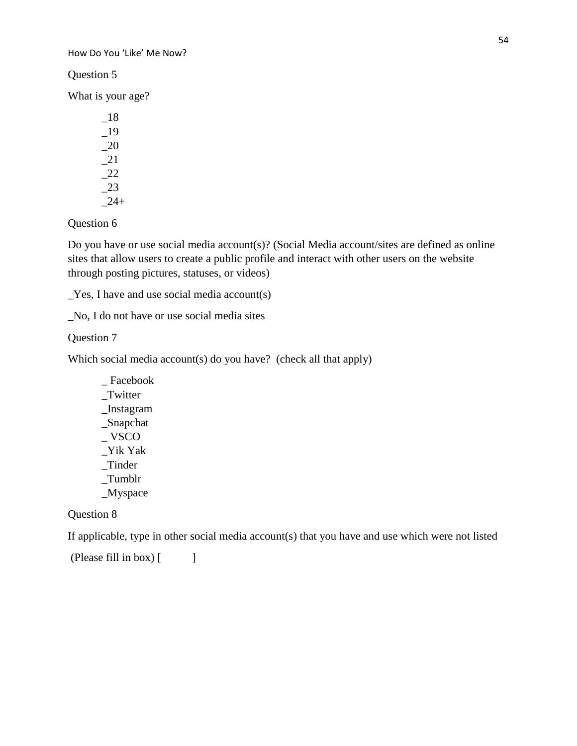Question 5

What is your age?

\_18 \_19 \_20 \_21  $-22$ \_23  $-24+$ 

Question 6

Do you have or use social media account(s)? (Social Media account/sites are defined as online sites that allow users to create a public profile and interact with other users on the website through posting pictures, statuses, or videos)

 $Yes$ , I have and use social media account(s)

\_No, I do not have or use social media sites

Question 7

Which social media account(s) do you have? (check all that apply)

\_ Facebook \_Twitter \_Instagram \_Snapchat \_ VSCO \_Yik Yak \_Tinder \_Tumblr \_Myspace

## Question 8

If applicable, type in other social media account(s) that you have and use which were not listed

(Please fill in box) [ ]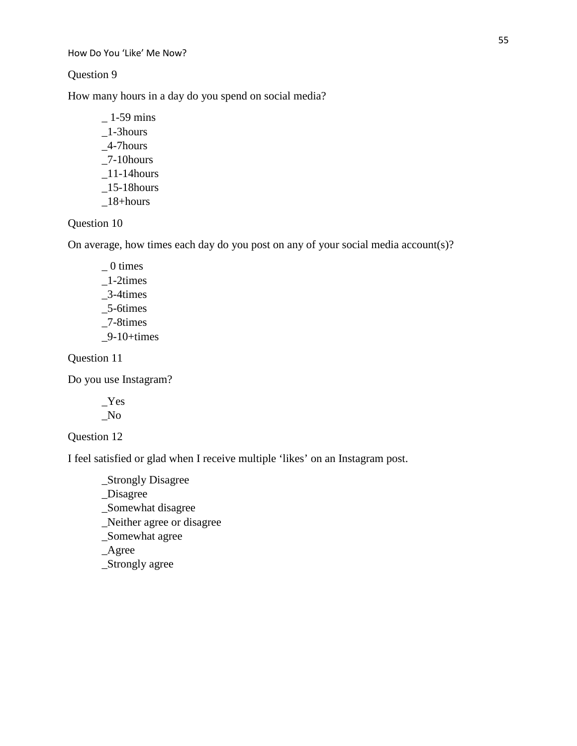Question 9

How many hours in a day do you spend on social media?

 $-1-59$  mins  $\_1$ -3hours \_4-7hours  $\_7$ -10hours  $\_11-14$ hours  $\_15$ -18hours  $\_18+hours$ 

Question 10

On average, how times each day do you post on any of your social media account(s)?

 $= 0$  times \_1-2times \_3-4times \_5-6times \_7-8times  $-9-10+times$ 

Question 11

Do you use Instagram?

\_Yes \_No

Question 12

I feel satisfied or glad when I receive multiple 'likes' on an Instagram post.

\_Strongly Disagree

\_Disagree

\_Somewhat disagree

\_Neither agree or disagree

\_Somewhat agree

\_Agree

\_Strongly agree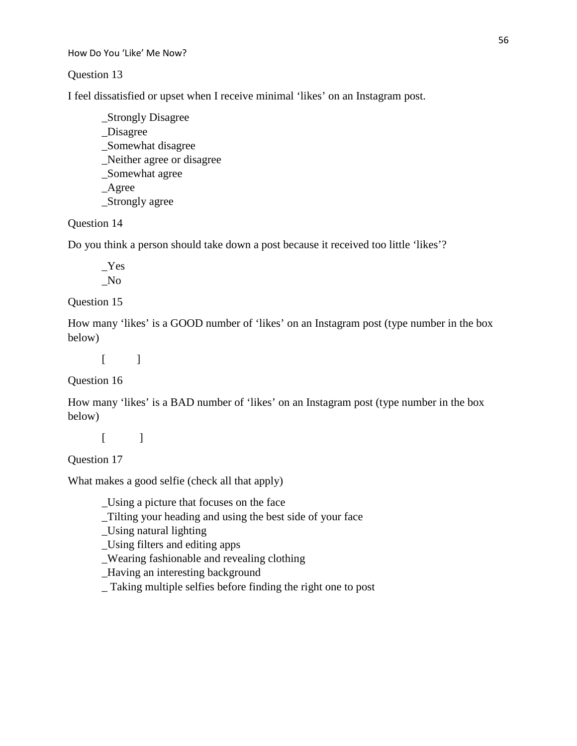## Question 13

I feel dissatisfied or upset when I receive minimal 'likes' on an Instagram post.

\_Strongly Disagree \_Disagree \_Somewhat disagree \_Neither agree or disagree \_Somewhat agree \_Agree \_Strongly agree

# Question 14

Do you think a person should take down a post because it received too little 'likes'?

\_Yes \_No

## Question 15

How many 'likes' is a GOOD number of 'likes' on an Instagram post (type number in the box below)

 $[$   $]$ 

## Question 16

How many 'likes' is a BAD number of 'likes' on an Instagram post (type number in the box below)

 $[$   $]$ 

Question 17

What makes a good selfie (check all that apply)

\_Using a picture that focuses on the face

\_Tilting your heading and using the best side of your face

\_Using natural lighting

\_Using filters and editing apps

\_Wearing fashionable and revealing clothing

\_Having an interesting background

\_ Taking multiple selfies before finding the right one to post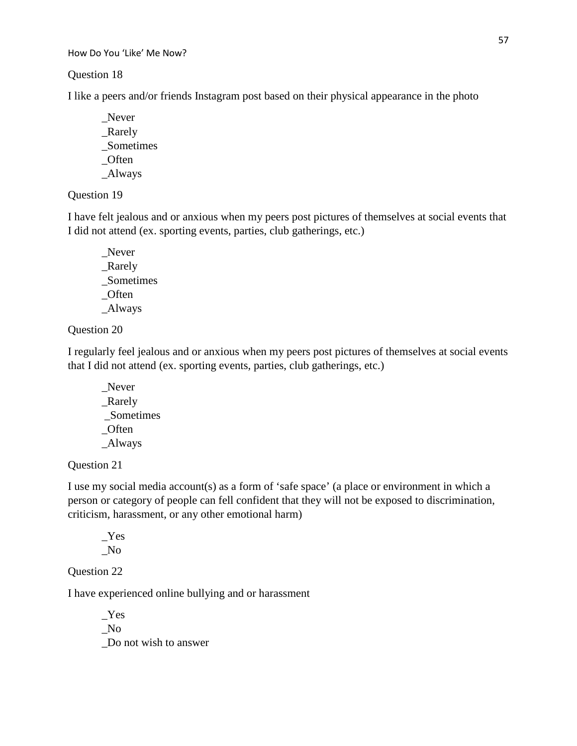Question 18

I like a peers and/or friends Instagram post based on their physical appearance in the photo

\_Never \_Rarely \_Sometimes \_Often \_Always

# Question 19

I have felt jealous and or anxious when my peers post pictures of themselves at social events that I did not attend (ex. sporting events, parties, club gatherings, etc.)

\_Never \_Rarely \_Sometimes \_Often \_Always

# Question 20

I regularly feel jealous and or anxious when my peers post pictures of themselves at social events that I did not attend (ex. sporting events, parties, club gatherings, etc.)

Never \_Rarely \_Sometimes \_Often \_Always

# Question 21

I use my social media account(s) as a form of 'safe space' (a place or environment in which a person or category of people can fell confident that they will not be exposed to discrimination, criticism, harassment, or any other emotional harm)

\_Yes \_No

Question 22

I have experienced online bullying and or harassment

\_Yes \_No \_Do not wish to answer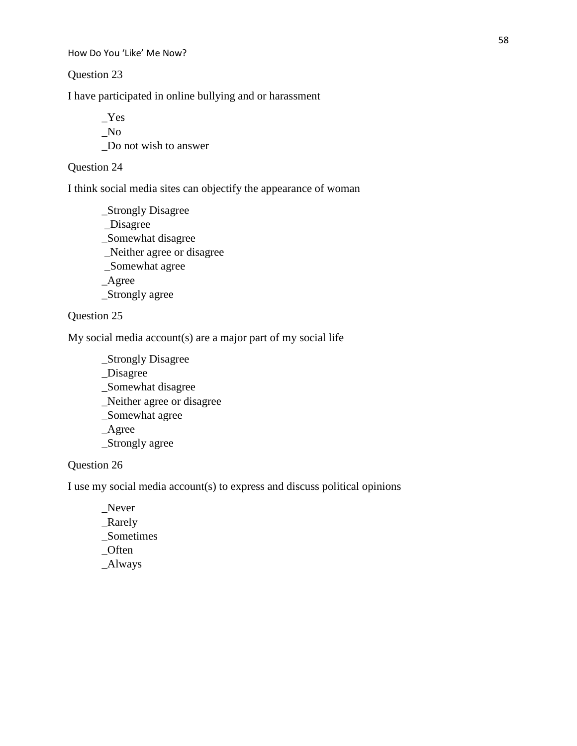Question 23

I have participated in online bullying and or harassment

\_Yes \_No \_Do not wish to answer

# Question 24

I think social media sites can objectify the appearance of woman

\_Strongly Disagree \_Disagree \_Somewhat disagree \_Neither agree or disagree \_Somewhat agree \_Agree \_Strongly agree

# Question 25

My social media account(s) are a major part of my social life

\_Strongly Disagree

\_Disagree

\_Somewhat disagree

\_Neither agree or disagree

\_Somewhat agree

\_Agree

\_Strongly agree

# Question 26

I use my social media account(s) to express and discuss political opinions

\_Never \_Rarely \_Sometimes \_Often \_Always